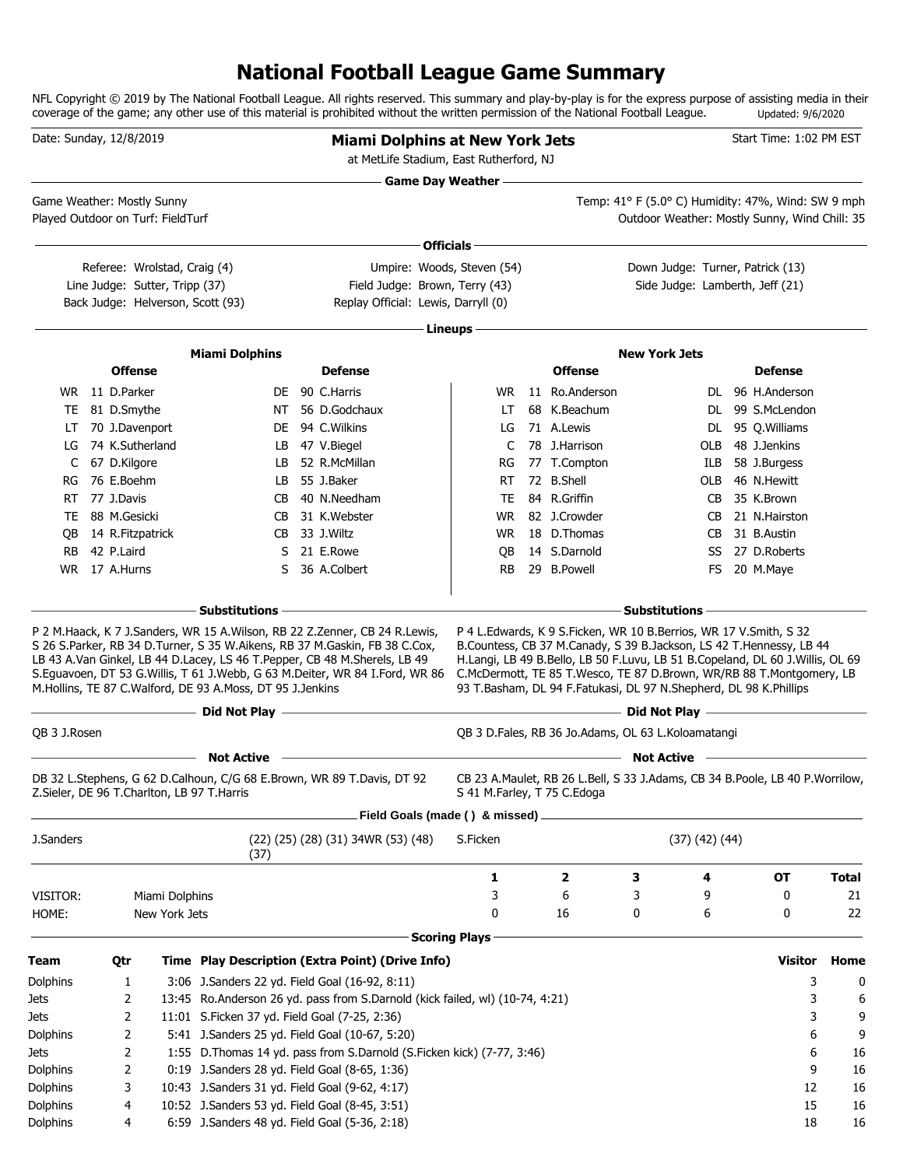## **National Football League Game Summary**

NFL Copyright © 2019 by The National Football League. All rights reserved. This summary and play-by-play is for the express purpose of assisting media in their coverage of the game; any other use of this material is prohibited without the written permission of the National Football League. Updated: 9/6/2020

| Date: Sunday, 12/8/2019           |                  |                                |                                                           | <b>Miami Dolphins at New York Jets</b><br>at MetLife Stadium, East Rutherford, NJ                                                                                                                                                                                                                                                                                                                                                                    |                             |                                                                                                                                        |                                                                 |              | Start Time: 1:02 PM EST                                                                                                                                                                                                      |              |
|-----------------------------------|------------------|--------------------------------|-----------------------------------------------------------|------------------------------------------------------------------------------------------------------------------------------------------------------------------------------------------------------------------------------------------------------------------------------------------------------------------------------------------------------------------------------------------------------------------------------------------------------|-----------------------------|----------------------------------------------------------------------------------------------------------------------------------------|-----------------------------------------------------------------|--------------|------------------------------------------------------------------------------------------------------------------------------------------------------------------------------------------------------------------------------|--------------|
| Game Weather: Mostly Sunny        |                  |                                |                                                           |                                                                                                                                                                                                                                                                                                                                                                                                                                                      | <b>Game Day Weather -</b>   |                                                                                                                                        | <u> 1980 - Johann Barn, mars an t-Amerikaansk kommunister (</u> |              | Temp: 41° F (5.0° C) Humidity: 47%, Wind: SW 9 mph                                                                                                                                                                           |              |
| Played Outdoor on Turf: FieldTurf |                  |                                |                                                           |                                                                                                                                                                                                                                                                                                                                                                                                                                                      |                             |                                                                                                                                        |                                                                 |              | Outdoor Weather: Mostly Sunny, Wind Chill: 35                                                                                                                                                                                |              |
|                                   |                  |                                |                                                           |                                                                                                                                                                                                                                                                                                                                                                                                                                                      | Officials -                 |                                                                                                                                        |                                                                 |              |                                                                                                                                                                                                                              |              |
|                                   |                  | Referee: Wrolstad, Craig (4)   |                                                           |                                                                                                                                                                                                                                                                                                                                                                                                                                                      | Umpire: Woods, Steven (54)  |                                                                                                                                        |                                                                 |              | Down Judge: Turner, Patrick (13)                                                                                                                                                                                             |              |
|                                   |                  | Line Judge: Sutter, Tripp (37) |                                                           | Field Judge: Brown, Terry (43)                                                                                                                                                                                                                                                                                                                                                                                                                       |                             |                                                                                                                                        |                                                                 |              | Side Judge: Lamberth, Jeff (21)                                                                                                                                                                                              |              |
|                                   |                  |                                | Back Judge: Helverson, Scott (93)                         | Replay Official: Lewis, Darryll (0)                                                                                                                                                                                                                                                                                                                                                                                                                  |                             |                                                                                                                                        |                                                                 |              |                                                                                                                                                                                                                              |              |
|                                   |                  |                                |                                                           |                                                                                                                                                                                                                                                                                                                                                                                                                                                      | Lineups -                   |                                                                                                                                        |                                                                 |              |                                                                                                                                                                                                                              |              |
|                                   |                  |                                |                                                           |                                                                                                                                                                                                                                                                                                                                                                                                                                                      |                             |                                                                                                                                        | <b>New York Jets</b>                                            |              |                                                                                                                                                                                                                              |              |
|                                   | <b>Offense</b>   |                                | <b>Miami Dolphins</b>                                     | <b>Defense</b>                                                                                                                                                                                                                                                                                                                                                                                                                                       |                             | <b>Offense</b>                                                                                                                         |                                                                 |              | <b>Defense</b>                                                                                                                                                                                                               |              |
|                                   | WR 11 D.Parker   |                                |                                                           | DE 90 C.Harris                                                                                                                                                                                                                                                                                                                                                                                                                                       | WR.                         | 11 Ro.Anderson                                                                                                                         |                                                                 |              | DL 96 H.Anderson                                                                                                                                                                                                             |              |
| TE                                | 81 D.Smythe      |                                | NT                                                        | 56 D.Godchaux                                                                                                                                                                                                                                                                                                                                                                                                                                        | LT                          | 68 K.Beachum                                                                                                                           |                                                                 | DL.          | 99 S.McLendon                                                                                                                                                                                                                |              |
| LT                                | 70 J.Davenport   |                                | DE                                                        | 94 C.Wilkins                                                                                                                                                                                                                                                                                                                                                                                                                                         | LG                          | 71 A.Lewis                                                                                                                             |                                                                 | DL.          | 95 Q.Williams                                                                                                                                                                                                                |              |
| LG                                | 74 K.Sutherland  |                                | LB.                                                       | 47 V.Biegel                                                                                                                                                                                                                                                                                                                                                                                                                                          | C                           | 78 J.Harrison                                                                                                                          |                                                                 | OLB          | 48 J.Jenkins                                                                                                                                                                                                                 |              |
| C                                 | 67 D.Kilgore     |                                | LB                                                        | 52 R.McMillan                                                                                                                                                                                                                                                                                                                                                                                                                                        | RG                          | 77 T.Compton                                                                                                                           |                                                                 | ILB          | 58 J.Burgess                                                                                                                                                                                                                 |              |
| RG                                | 76 E.Boehm       |                                | LB                                                        | 55 J.Baker                                                                                                                                                                                                                                                                                                                                                                                                                                           | RT.                         | 72 B.Shell                                                                                                                             |                                                                 | OLB          | 46 N.Hewitt                                                                                                                                                                                                                  |              |
| RT                                | 77 J.Davis       |                                | CВ                                                        | 40 N.Needham                                                                                                                                                                                                                                                                                                                                                                                                                                         | TE                          | 84 R.Griffin                                                                                                                           |                                                                 | CB           | 35 K.Brown                                                                                                                                                                                                                   |              |
|                                   | TE 88 M.Gesicki  |                                | СB                                                        | 31 K.Webster                                                                                                                                                                                                                                                                                                                                                                                                                                         | WR.                         | 82 J.Crowder                                                                                                                           |                                                                 | CB           | 21 N.Hairston                                                                                                                                                                                                                |              |
| QB                                | 14 R.Fitzpatrick |                                | CB                                                        | 33 J.Wiltz                                                                                                                                                                                                                                                                                                                                                                                                                                           | WR.                         | 18 D.Thomas                                                                                                                            |                                                                 | CB           | 31 B.Austin                                                                                                                                                                                                                  |              |
| <b>RB</b>                         | 42 P.Laird       |                                | S                                                         | 21 E.Rowe                                                                                                                                                                                                                                                                                                                                                                                                                                            | QB                          | 14 S.Darnold                                                                                                                           |                                                                 | SS           | 27 D.Roberts                                                                                                                                                                                                                 |              |
| WR.                               | 17 A.Hurns       |                                | S                                                         | 36 A.Colbert                                                                                                                                                                                                                                                                                                                                                                                                                                         | RB.                         | 29 B.Powell                                                                                                                            |                                                                 | FS           | 20 M.Maye                                                                                                                                                                                                                    |              |
|                                   |                  |                                |                                                           |                                                                                                                                                                                                                                                                                                                                                                                                                                                      |                             |                                                                                                                                        |                                                                 |              |                                                                                                                                                                                                                              |              |
|                                   |                  |                                | M.Hollins, TE 87 C.Walford, DE 93 A.Moss, DT 95 J.Jenkins | P 2 M.Haack, K 7 J.Sanders, WR 15 A.Wilson, RB 22 Z.Zenner, CB 24 R.Lewis,<br>S 26 S.Parker, RB 34 D.Turner, S 35 W.Aikens, RB 37 M.Gaskin, FB 38 C.Cox,<br>LB 43 A.Van Ginkel, LB 44 D.Lacey, LS 46 T.Pepper, CB 48 M.Sherels, LB 49<br>S.Eguavoen, DT 53 G.Willis, T 61 J.Webb, G 63 M.Deiter, WR 84 I.Ford, WR 86<br>- Did Not Play - and the second state of the second state of the second state of the second state of the second state $\sim$ |                             | P 4 L.Edwards, K 9 S.Ficken, WR 10 B.Berrios, WR 17 V.Smith, S 32<br>93 T.Basham, DL 94 F.Fatukasi, DL 97 N.Shepherd, DL 98 K.Phillips | $-$ Did Not Play $-$                                            |              | B.Countess, CB 37 M.Canady, S 39 B.Jackson, LS 42 T.Hennessy, LB 44<br>H.Langi, LB 49 B.Bello, LB 50 F.Luvu, LB 51 B.Copeland, DL 60 J.Willis, OL 69<br>C.McDermott, TE 85 T.Wesco, TE 87 D.Brown, WR/RB 88 T.Montgomery, LB |              |
| QB 3 J.Rosen                      |                  |                                |                                                           |                                                                                                                                                                                                                                                                                                                                                                                                                                                      |                             | QB 3 D.Fales, RB 36 Jo.Adams, OL 63 L.Koloamatangi                                                                                     |                                                                 |              |                                                                                                                                                                                                                              |              |
|                                   |                  |                                | <b>Not Active</b>                                         |                                                                                                                                                                                                                                                                                                                                                                                                                                                      |                             |                                                                                                                                        | <b>Not Active</b>                                               |              |                                                                                                                                                                                                                              |              |
|                                   |                  |                                | Z.Sieler, DE 96 T.Charlton, LB 97 T.Harris                | DB 32 L.Stephens, G 62 D.Calhoun, C/G 68 E.Brown, WR 89 T.Davis, DT 92<br>Field Goals (made () & missed) _                                                                                                                                                                                                                                                                                                                                           | S 41 M.Farley, T 75 C.Edoga |                                                                                                                                        |                                                                 |              | CB 23 A.Maulet, RB 26 L.Bell, S 33 J.Adams, CB 34 B.Poole, LB 40 P.Worrilow,                                                                                                                                                 |              |
| J.Sanders                         |                  |                                |                                                           | (22) (25) (28) (31) 34WR (53) (48)                                                                                                                                                                                                                                                                                                                                                                                                                   | S.Ficken                    |                                                                                                                                        |                                                                 | (37)(42)(44) |                                                                                                                                                                                                                              |              |
|                                   |                  |                                | (37)                                                      |                                                                                                                                                                                                                                                                                                                                                                                                                                                      |                             |                                                                                                                                        |                                                                 |              |                                                                                                                                                                                                                              |              |
|                                   |                  |                                |                                                           |                                                                                                                                                                                                                                                                                                                                                                                                                                                      | 1                           | $\overline{\mathbf{2}}$                                                                                                                | 3                                                               | 4            | OT                                                                                                                                                                                                                           | <b>Total</b> |
| VISITOR:                          |                  | Miami Dolphins                 |                                                           |                                                                                                                                                                                                                                                                                                                                                                                                                                                      | 3                           | 6                                                                                                                                      | 3                                                               | 9            | 0                                                                                                                                                                                                                            | 21           |
| HOME:                             |                  | New York Jets                  |                                                           |                                                                                                                                                                                                                                                                                                                                                                                                                                                      | 0                           | 16                                                                                                                                     | 0                                                               | 6            | 0                                                                                                                                                                                                                            | 22           |
|                                   |                  |                                |                                                           |                                                                                                                                                                                                                                                                                                                                                                                                                                                      | <b>Scoring Plays</b>        |                                                                                                                                        |                                                                 |              |                                                                                                                                                                                                                              |              |
| Team                              | Qtr              |                                |                                                           | Time Play Description (Extra Point) (Drive Info)                                                                                                                                                                                                                                                                                                                                                                                                     |                             |                                                                                                                                        |                                                                 |              | <b>Visitor</b>                                                                                                                                                                                                               | Home         |
| Dolphins                          | 1                |                                |                                                           | 3:06 J.Sanders 22 yd. Field Goal (16-92, 8:11)                                                                                                                                                                                                                                                                                                                                                                                                       |                             |                                                                                                                                        |                                                                 |              | 3                                                                                                                                                                                                                            | 0            |
| Jets                              | 2                |                                |                                                           | 13:45 Ro.Anderson 26 yd. pass from S.Darnold (kick failed, wl) (10-74, 4:21)                                                                                                                                                                                                                                                                                                                                                                         |                             |                                                                                                                                        |                                                                 |              | 3                                                                                                                                                                                                                            | 6            |
| Jets                              | 2                |                                | 11:01 S.Ficken 37 yd. Field Goal (7-25, 2:36)             |                                                                                                                                                                                                                                                                                                                                                                                                                                                      |                             |                                                                                                                                        |                                                                 |              | 3                                                                                                                                                                                                                            | 9            |
| Dolphins                          | 2                |                                |                                                           | 5:41 J.Sanders 25 yd. Field Goal (10-67, 5:20)                                                                                                                                                                                                                                                                                                                                                                                                       |                             |                                                                                                                                        |                                                                 |              | 6                                                                                                                                                                                                                            | 9            |
| Jets                              | 2                |                                |                                                           | 1:55 D. Thomas 14 yd. pass from S. Darnold (S. Ficken kick) (7-77, 3:46)                                                                                                                                                                                                                                                                                                                                                                             |                             |                                                                                                                                        |                                                                 |              | 6                                                                                                                                                                                                                            | 16           |
| Dolphins                          | 2                |                                | 0:19 J.Sanders 28 yd. Field Goal (8-65, 1:36)             |                                                                                                                                                                                                                                                                                                                                                                                                                                                      |                             |                                                                                                                                        |                                                                 |              | 9                                                                                                                                                                                                                            | 16           |
| Dolphins                          | 3                |                                | 10:43 J.Sanders 31 yd. Field Goal (9-62, 4:17)            |                                                                                                                                                                                                                                                                                                                                                                                                                                                      |                             |                                                                                                                                        |                                                                 |              | 12                                                                                                                                                                                                                           | 16           |
| Dolphins                          | 4                |                                | 10:52 J.Sanders 53 yd. Field Goal (8-45, 3:51)            |                                                                                                                                                                                                                                                                                                                                                                                                                                                      |                             |                                                                                                                                        |                                                                 |              | 15                                                                                                                                                                                                                           | 16           |
| Dolphins                          | 4                |                                | 6:59 J.Sanders 48 yd. Field Goal (5-36, 2:18)             |                                                                                                                                                                                                                                                                                                                                                                                                                                                      |                             |                                                                                                                                        |                                                                 |              | 18                                                                                                                                                                                                                           | 16           |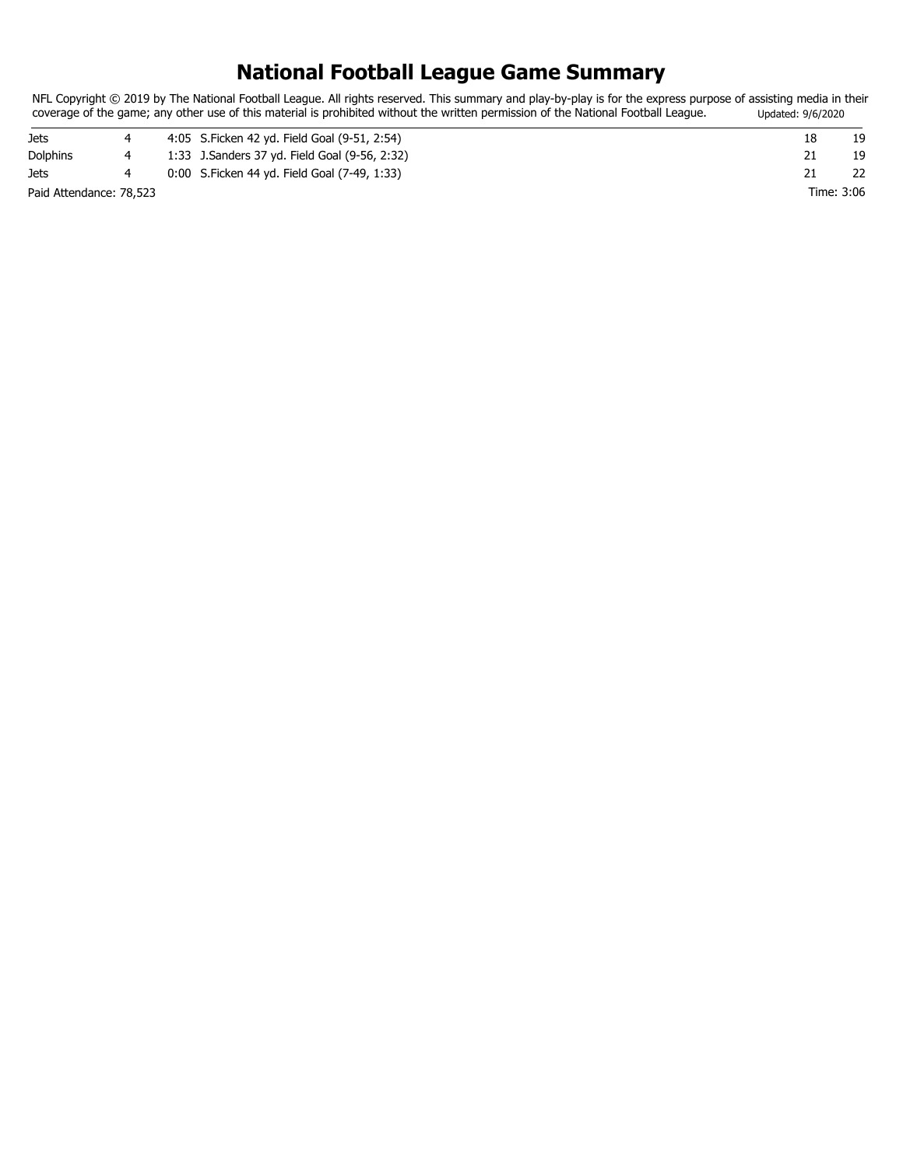## **National Football League Game Summary**

NFL Copyright © 2019 by The National Football League. All rights reserved. This summary and play-by-play is for the express purpose of assisting media in their coverage of the game; any other use of this material is prohibited without the written permission of the National Football League. Updated: 9/6/2020

| Jets                    |  | 4:05 S. Ficken 42 yd. Field Goal (9-51, 2:54) |            |  |
|-------------------------|--|-----------------------------------------------|------------|--|
| <b>Dolphins</b>         |  | 1:33 J.Sanders 37 yd. Field Goal (9-56, 2:32) |            |  |
| Jets                    |  | 0:00 S. Ficken 44 yd. Field Goal (7-49, 1:33) |            |  |
| Paid Attendance: 78,523 |  |                                               | Time: 3:06 |  |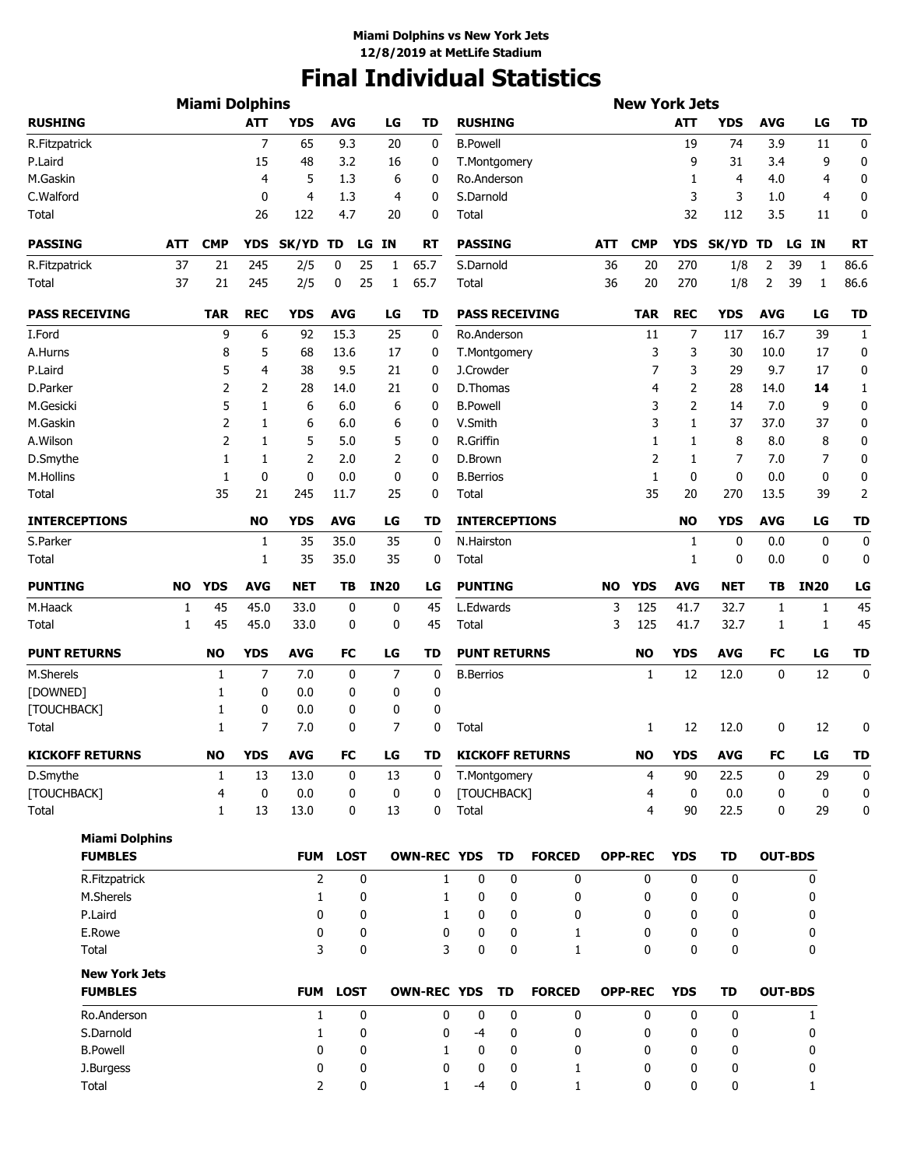# **Final Individual Statistics**

|                        |           | <b>Miami Dolphins</b> |                |                |                            |              |                    |                      |           |                        |           | <b>New York Jets</b> |             |                  |                |                    |                |
|------------------------|-----------|-----------------------|----------------|----------------|----------------------------|--------------|--------------------|----------------------|-----------|------------------------|-----------|----------------------|-------------|------------------|----------------|--------------------|----------------|
| <b>RUSHING</b>         |           |                       | <b>ATT</b>     | <b>YDS</b>     | <b>AVG</b>                 | LG           | <b>TD</b>          | <b>RUSHING</b>       |           |                        |           |                      | <b>ATT</b>  | <b>YDS</b>       | <b>AVG</b>     | LG                 | <b>TD</b>      |
| R.Fitzpatrick          |           |                       | $\overline{7}$ | 65             | 9.3                        | 20           | 0                  | <b>B.Powell</b>      |           |                        |           |                      | 19          | 74               | 3.9            | 11                 | 0              |
| P.Laird                |           |                       | 15             | 48             | 3.2                        | 16           | 0                  | T.Montgomery         |           |                        |           |                      | 9           | 31               | 3.4            | 9                  | 0              |
| M.Gaskin               |           |                       | 4              | 5              | 1.3                        | 6            | 0                  | Ro.Anderson          |           |                        |           |                      | 1           | 4                | 4.0            | 4                  | 0              |
| C.Walford              |           |                       | 0              | $\overline{4}$ | 1.3                        | 4            | 0                  | S.Darnold            |           |                        |           |                      | 3           | 3                | 1.0            | 4                  | 0              |
| Total                  |           |                       | 26             | 122            | 4.7                        | 20           | 0                  | Total                |           |                        |           |                      | 32          | 112              | 3.5            | 11                 | 0              |
| <b>PASSING</b>         | ATT       | <b>CMP</b>            | <b>YDS</b>     | SK/YD          | TD<br>LG                   | IN           | RT                 | <b>PASSING</b>       |           |                        | ATT       | <b>CMP</b>           | <b>YDS</b>  | SK/YD TD         |                | LG IN              | <b>RT</b>      |
| R.Fitzpatrick          | 37        | 21                    | 245            | 2/5            | 0<br>25                    | $\mathbf{1}$ | 65.7               | S.Darnold            |           |                        | 36        | 20                   | 270         | 1/8              | 2              | 39<br>$\mathbf{1}$ | 86.6           |
| Total                  | 37        | 21                    | 245            | 2/5            | 0<br>25                    | 1            | 65.7               | Total                |           |                        | 36        | 20                   | 270         | 1/8              | 2              | 39<br>1            | 86.6           |
| <b>PASS RECEIVING</b>  |           | <b>TAR</b>            | <b>REC</b>     | <b>YDS</b>     | <b>AVG</b>                 | LG           | TD                 |                      |           | <b>PASS RECEIVING</b>  |           | <b>TAR</b>           | <b>REC</b>  | <b>YDS</b>       | <b>AVG</b>     | LG                 | <b>TD</b>      |
| I.Ford                 |           | 9                     | 6              | 92             | 15.3                       | 25           | 0                  | Ro.Anderson          |           |                        |           | 11                   | 7           | 117              | 16.7           | 39                 | $\mathbf{1}$   |
| A.Hurns                |           | 8                     | 5              | 68             | 13.6                       | 17           | 0                  | T.Montgomery         |           |                        |           | 3                    | 3           | 30               | 10.0           | 17                 | 0              |
| P.Laird                |           | 5                     | 4              | 38             | 9.5                        | 21           | 0                  | J.Crowder            |           |                        |           | 7                    | 3           | 29               | 9.7            | 17                 | 0              |
| D.Parker               |           | 2                     | 2              | 28             | 14.0                       | 21           | 0                  | D.Thomas             |           |                        |           | 4                    | 2           | 28               | 14.0           | 14                 | 1              |
| M.Gesicki              |           | 5                     | 1              | 6              | 6.0                        | 6            | 0                  | <b>B.Powell</b>      |           |                        |           | 3                    | 2           | 14               | 7.0            | 9                  | 0              |
| M.Gaskin               |           | 2                     | 1              | 6              | 6.0                        | 6            | 0                  | V.Smith              |           |                        |           | 3                    | 1           | 37               | 37.0           | 37                 | 0              |
| A.Wilson               |           | 2                     | 1              | 5              | 5.0                        | 5            | 0                  | R.Griffin            |           |                        |           | 1                    | 1           | 8                | 8.0            | 8                  | 0              |
| D.Smythe               |           | 1                     | 1              | 2              | 2.0                        | 2            | 0                  | D.Brown              |           |                        |           | 2                    | 1           | 7                | 7.0            | 7                  | 0              |
| M.Hollins              |           | 1                     | 0              | 0              | 0.0                        | 0            | 0                  | <b>B.Berrios</b>     |           |                        |           | 1                    | $\mathbf 0$ | 0                | 0.0            | 0                  | 0              |
| Total                  |           | 35                    | 21             | 245            | 11.7                       | 25           | 0                  | Total                |           |                        |           | 35                   | 20          | 270              | 13.5           | 39                 | $\overline{2}$ |
| <b>INTERCEPTIONS</b>   |           |                       | <b>NO</b>      | <b>YDS</b>     | <b>AVG</b>                 | LG           | TD                 | <b>INTERCEPTIONS</b> |           |                        |           |                      | <b>NO</b>   | <b>YDS</b>       | <b>AVG</b>     | LG                 | <b>TD</b>      |
| S.Parker               |           |                       | 1              | 35             | 35.0                       | 35           | 0                  | N.Hairston           |           |                        |           |                      | 1           | 0                | 0.0            | 0                  | 0              |
| Total                  |           |                       | 1              | 35             | 35.0                       | 35           | 0                  | Total                |           |                        |           |                      | 1           | 0                | 0.0            | 0                  | 0              |
| <b>PUNTING</b>         | <b>NO</b> | <b>YDS</b>            | <b>AVG</b>     | <b>NET</b>     | TB                         | <b>IN20</b>  | LG                 | <b>PUNTING</b>       |           |                        | <b>NO</b> | <b>YDS</b>           | <b>AVG</b>  | <b>NET</b>       | ТB             | <b>IN20</b>        | LG             |
| M.Haack                | 1         | 45                    | 45.0           | 33.0           | 0                          | 0            | 45                 | L.Edwards            |           |                        | 3         | 125                  | 41.7        | 32.7             | 1              | 1                  | 45             |
| Total                  | 1         | 45                    | 45.0           | 33.0           | 0                          | 0            | 45                 | Total                |           |                        | 3         | 125                  | 41.7        | 32.7             | 1              | 1                  | 45             |
| <b>PUNT RETURNS</b>    |           | NO                    | <b>YDS</b>     | <b>AVG</b>     | <b>FC</b>                  | LG           | TD                 | <b>PUNT RETURNS</b>  |           |                        |           | <b>NO</b>            | <b>YDS</b>  | AVG              | FC             | LG                 | <b>TD</b>      |
| M.Sherels              |           | 1                     | 7              | 7.0            | 0                          | 7            | 0                  | <b>B.Berrios</b>     |           |                        |           | $\mathbf{1}$         | 12          | 12.0             | 0              | 12                 | $\mathbf 0$    |
| [DOWNED]               |           | 1                     | 0              | 0.0            | 0                          | 0            | 0                  |                      |           |                        |           |                      |             |                  |                |                    |                |
| [TOUCHBACK]            |           | 1                     | 0              | 0.0            | 0                          | 0            | 0                  |                      |           |                        |           |                      |             |                  |                |                    |                |
| Total                  |           | 1                     | 7              | 7.0            | 0                          | 7            | 0                  | Total                |           |                        |           | 1                    | 12          | 12.0             | 0              | 12                 | 0              |
| <b>KICKOFF RETURNS</b> |           | <b>NO</b>             | <b>YDS</b>     | <b>AVG</b>     | FC                         | LG           | TD                 |                      |           | <b>KICKOFF RETURNS</b> |           | <b>NO</b>            | <b>YDS</b>  | <b>AVG</b>       | FC             | LG                 | TD             |
| D.Smythe               |           | $\mathbf{1}$          | 13             | 13.0           | 0                          | 13           | 0                  | T.Montgomery         |           |                        |           | 4                    | 90          | 22.5             | 0              | 29                 | 0              |
| [TOUCHBACK]            |           | 4                     | 0              | 0.0            | 0                          | $\pmb{0}$    | 0                  | [TOUCHBACK]          |           |                        |           | $\overline{4}$       | $\mathbf 0$ | 0.0              | 0              | 0                  | $\mathbf 0$    |
| Total                  |           | 1                     | 13             | 13.0           | 0                          | 13           | 0                  | Total                |           |                        |           | $\overline{4}$       | 90          | 22.5             | 0              | 29                 | 0              |
| <b>Miami Dolphins</b>  |           |                       |                |                |                            |              | <b>OWN-REC YDS</b> |                      |           |                        |           |                      |             |                  |                |                    |                |
| <b>FUMBLES</b>         |           |                       |                | <b>FUM</b>     | <b>LOST</b>                |              |                    |                      | <b>TD</b> | <b>FORCED</b>          |           | <b>OPP-REC</b>       | <b>YDS</b>  | TD               | <b>OUT-BDS</b> |                    |                |
| R.Fitzpatrick          |           |                       |                | 2              | $\mathbf 0$                |              | 1                  | 0                    | 0         | $\mathbf 0$            |           | 0                    | 0           | 0                |                | 0                  |                |
| M.Sherels              |           |                       |                | 1              | 0                          |              | 1                  | 0                    | 0         | 0                      |           | 0                    | 0           | 0                |                | 0                  |                |
| P.Laird                |           |                       |                | 0              | 0                          |              | 1                  | 0                    | 0         | 0                      |           | 0                    | 0           | 0                |                | 0                  |                |
| E.Rowe<br>Total        |           |                       |                | 0<br>3         | $\mathbf 0$<br>$\mathbf 0$ |              | 0<br>3             | 0<br>$\pmb{0}$       | 0<br>0    | 1<br>1                 |           | 0<br>$\mathbf{0}$    | 0<br>0      | 0<br>$\mathbf 0$ |                | 0<br>0             |                |
| <b>New York Jets</b>   |           |                       |                |                |                            |              |                    |                      |           |                        |           |                      |             |                  |                |                    |                |
| <b>FUMBLES</b>         |           |                       |                | <b>FUM</b>     | <b>LOST</b>                |              | <b>OWN-REC YDS</b> |                      | <b>TD</b> | <b>FORCED</b>          |           | <b>OPP-REC</b>       | <b>YDS</b>  | TD               | <b>OUT-BDS</b> |                    |                |
| Ro.Anderson            |           |                       |                | 1              | 0                          |              | 0                  | 0                    | 0         | 0                      |           | 0                    | 0           | 0                |                | 1                  |                |
| S.Darnold              |           |                       |                | 1              | 0                          |              | 0                  | $-4$                 | 0         | 0                      |           | 0                    | 0           | 0                |                | 0                  |                |
| <b>B.Powell</b>        |           |                       |                | 0              | 0                          |              | 1                  | 0                    | 0         | 0                      |           | 0                    | 0           | 0                |                | 0                  |                |
| J.Burgess              |           |                       |                | 0              | 0                          |              | 0                  | 0                    | 0         | 1                      |           | 0                    | 0           | 0                |                | 0                  |                |
| <b>Total</b>           |           |                       |                | 2              | 0                          |              | 1                  | $-4$                 | 0         | $\mathbf{1}$           |           | 0                    | 0           | 0                |                | 1                  |                |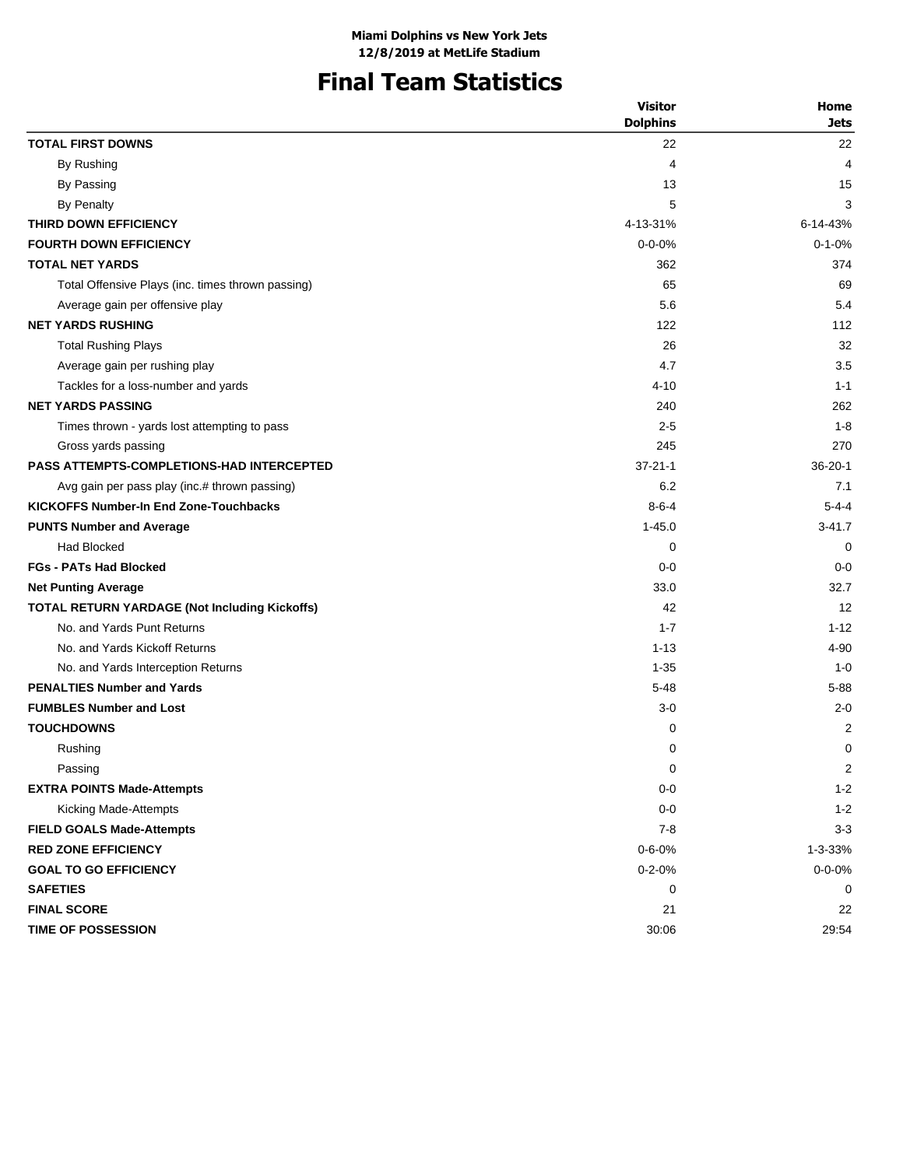# **Final Team Statistics**

|                                                      | <b>Visitor</b>  | Home           |
|------------------------------------------------------|-----------------|----------------|
|                                                      | <b>Dolphins</b> | <b>Jets</b>    |
| <b>TOTAL FIRST DOWNS</b>                             | 22              | 22             |
| By Rushing                                           | 4               | 4              |
| By Passing                                           | 13              | 15             |
| By Penalty                                           | 5               | 3              |
| THIRD DOWN EFFICIENCY                                | 4-13-31%        | 6-14-43%       |
| <b>FOURTH DOWN EFFICIENCY</b>                        | $0 - 0 - 0%$    | $0 - 1 - 0%$   |
| <b>TOTAL NET YARDS</b>                               | 362             | 374            |
| Total Offensive Plays (inc. times thrown passing)    | 65              | 69             |
| Average gain per offensive play                      | 5.6             | 5.4            |
| <b>NET YARDS RUSHING</b>                             | 122             | 112            |
| <b>Total Rushing Plays</b>                           | 26              | 32             |
| Average gain per rushing play                        | 4.7             | 3.5            |
| Tackles for a loss-number and yards                  | $4 - 10$        | $1 - 1$        |
| <b>NET YARDS PASSING</b>                             | 240             | 262            |
| Times thrown - yards lost attempting to pass         | $2 - 5$         | $1 - 8$        |
| Gross yards passing                                  | 245             | 270            |
| <b>PASS ATTEMPTS-COMPLETIONS-HAD INTERCEPTED</b>     | $37 - 21 - 1$   | $36 - 20 - 1$  |
| Avg gain per pass play (inc.# thrown passing)        | 6.2             | 7.1            |
| <b>KICKOFFS Number-In End Zone-Touchbacks</b>        | $8 - 6 - 4$     | $5 - 4 - 4$    |
| <b>PUNTS Number and Average</b>                      | $1 - 45.0$      | $3 - 41.7$     |
| <b>Had Blocked</b>                                   | 0               | 0              |
| <b>FGs - PATs Had Blocked</b>                        | $0 - 0$         | $0 - 0$        |
| <b>Net Punting Average</b>                           | 33.0            | 32.7           |
| <b>TOTAL RETURN YARDAGE (Not Including Kickoffs)</b> | 42              | 12             |
| No. and Yards Punt Returns                           | $1 - 7$         | $1 - 12$       |
| No. and Yards Kickoff Returns                        | $1 - 13$        | 4-90           |
| No. and Yards Interception Returns                   | $1 - 35$        | $1 - 0$        |
| <b>PENALTIES Number and Yards</b>                    | $5 - 48$        | $5 - 88$       |
| <b>FUMBLES Number and Lost</b>                       | $3 - 0$         | $2 - 0$        |
| <b>TOUCHDOWNS</b>                                    | 0               | $\overline{2}$ |
| Rushing                                              | 0               | 0              |
| Passing                                              | 0               | 2              |
| <b>EXTRA POINTS Made-Attempts</b>                    | $0 - 0$         | $1 - 2$        |
| Kicking Made-Attempts                                | $0-0$           | $1 - 2$        |
| <b>FIELD GOALS Made-Attempts</b>                     | $7 - 8$         | $3 - 3$        |
| <b>RED ZONE EFFICIENCY</b>                           | $0 - 6 - 0%$    | 1-3-33%        |
| <b>GOAL TO GO EFFICIENCY</b>                         | $0 - 2 - 0%$    | $0 - 0 - 0%$   |
| <b>SAFETIES</b>                                      | 0               | 0              |
| <b>FINAL SCORE</b>                                   | 21              | 22             |
| TIME OF POSSESSION                                   | 30:06           | 29:54          |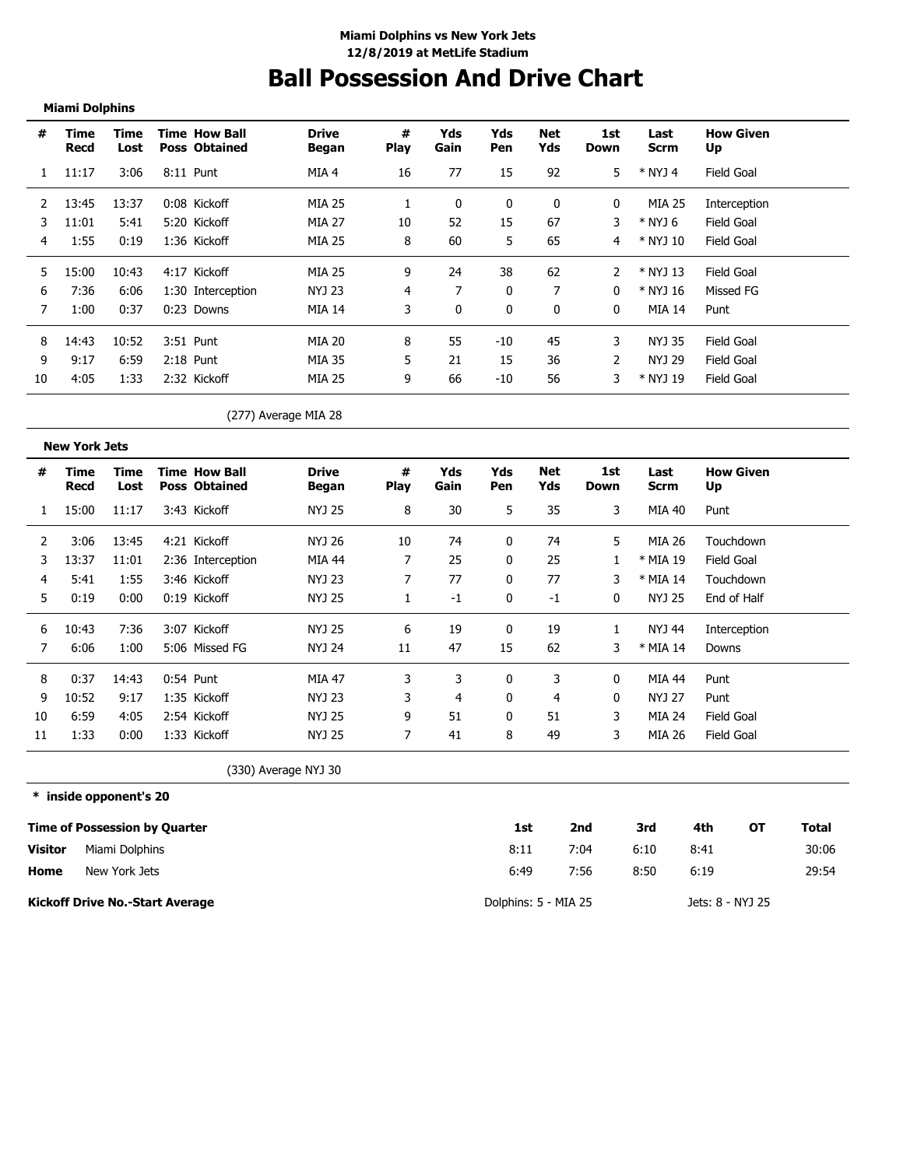# **Ball Possession And Drive Chart**

### **Miami Dolphins**

. . . . . . . . . . . . . . . . . . . .

| #  | Time<br>Recd | Time<br>Lost | <b>Time How Ball</b><br><b>Poss Obtained</b> | <b>Drive</b><br>Began | #<br><b>Play</b> | Yds<br>Gain | Yds<br>Pen | Net<br>Yds | 1st<br>Down  | Last<br>Scrm | <b>How Given</b><br>Up |
|----|--------------|--------------|----------------------------------------------|-----------------------|------------------|-------------|------------|------------|--------------|--------------|------------------------|
|    | 11:17        | 3:06         | 8:11 Punt                                    | MIA 4                 | 16               | 77          | 15         | 92         | 5            | * NYJ 4      | Field Goal             |
|    | 13:45        | 13:37        | 0:08 Kickoff                                 | <b>MIA 25</b>         |                  |             | 0          | 0          | 0            | MIA 25       | Interception           |
| 3  | 11:01        | 5:41         | 5:20 Kickoff                                 | MIA 27                | 10               | 52          | 15         | 67         | 3            | * NYJ 6      | Field Goal             |
| 4  | 1:55         | 0:19         | 1:36 Kickoff                                 | MIA 25                | 8                | 60          | 5          | 65         | 4            | * NYJ 10     | Field Goal             |
| 5  | 15:00        | 10:43        | 4:17 Kickoff                                 | MIA 25                | 9                | 24          | 38         | 62         |              | * NYJ 13     | Field Goal             |
| 6  | 7:36         | 6:06         | 1:30 Interception                            | NYJ 23                | 4                |             | 0          | ⇁          | 0            | * NYJ 16     | Missed FG              |
| 7  | 1:00         | 0:37         | $0:23$ Downs                                 | <b>MIA 14</b>         | 3                | $\Omega$    | $\Omega$   | $\Omega$   | $\mathbf{0}$ | MIA 14       | Punt                   |
| 8  | 14:43        | 10:52        | 3:51 Punt                                    | MIA 20                | 8                | 55          | $-10$      | 45         | 3            | NYJ 35       | Field Goal             |
| 9  | 9:17         | 6:59         | $2:18$ Punt                                  | MIA 35                | 5.               | 21          | 15         | 36         | 2            | NYJ 29       | Field Goal             |
| 10 | 4:05         | 1:33         | 2:32 Kickoff                                 | MIA 25                | 9                | 66          | $-10$      | 56         | 3            | * NYJ 19     | Field Goal             |

(277) Average MIA 28

|    | <b>New York Jets</b> |              |                                              |                       |                  |             |              |            |             |              |                        |
|----|----------------------|--------------|----------------------------------------------|-----------------------|------------------|-------------|--------------|------------|-------------|--------------|------------------------|
| #  | Time<br>Recd         | Time<br>Lost | <b>Time How Ball</b><br><b>Poss Obtained</b> | <b>Drive</b><br>Began | #<br><b>Play</b> | Yds<br>Gain | Yds<br>Pen   | Net<br>Yds | 1st<br>Down | Last<br>Scrm | <b>How Given</b><br>Up |
| 1  | 15:00                | 11:17        | 3:43 Kickoff                                 | NYJ 25                | 8                | 30          | 5            | 35         | 3           | MIA 40       | Punt                   |
| 2  | 3:06                 | 13:45        | 4:21 Kickoff                                 | NYJ 26                | 10               | 74          | $\mathbf{0}$ | 74         | 5           | MIA 26       | Touchdown              |
| 3  | 13:37                | 11:01        | 2:36 Interception                            | MIA 44                | 7                | 25          | $\mathbf{0}$ | 25         |             | * MIA 19     | Field Goal             |
| 4  | 5:41                 | 1:55         | 3:46 Kickoff                                 | NYJ 23                |                  | 77          | 0            | 77         | 3           | * MIA 14     | Touchdown              |
| 5  | 0:19                 | 0:00         | 0:19 Kickoff                                 | NYJ 25                |                  | -1          | 0            | -1         | 0           | NYJ 25       | End of Half            |
| 6  | 10:43                | 7:36         | 3:07 Kickoff                                 | NYJ 25                | 6                | 19          | 0            | 19         |             | NYJ 44       | Interception           |
|    | 6:06                 | 1:00         | 5:06 Missed FG                               | NYJ 24                | 11               | 47          | 15           | 62         | 3           | * MIA 14     | Downs                  |
| 8  | 0:37                 | 14:43        | $0:54$ Punt                                  | <b>MIA 47</b>         | 3                | 3           | 0            | 3          | 0           | MIA 44       | Punt                   |
| 9  | 10:52                | 9:17         | 1:35 Kickoff                                 | NYJ 23                | 3                | 4           | 0            | 4          | 0           | NYJ 27       | Punt                   |
| 10 | 6:59                 | 4:05         | 2:54 Kickoff                                 | NYJ 25                | 9                | 51          | 0            | 51         | 3           | MIA 24       | <b>Field Goal</b>      |
| 11 | 1:33                 | 0:00         | 1:33 Kickoff                                 | NYJ 25                | 7                | 41          | 8            | 49         | 3           | MIA 26       | Field Goal             |

(330) Average NYJ 30

**\* inside opponent's 20**

|                | <b>Time of Possession by Quarter</b>   | 1st                  | 2nd  | 3rd  | 4th              | OТ | Total |
|----------------|----------------------------------------|----------------------|------|------|------------------|----|-------|
| <b>Visitor</b> | Miami Dolphins                         | 8:11                 | 7:04 | 6:10 | 8:41             |    | 30:06 |
| Home           | New York Jets                          | 6:49                 | 7:56 | 8:50 | 6:19             |    | 29:54 |
|                | <b>Kickoff Drive No.-Start Average</b> | Dolphins: 5 - MIA 25 |      |      | Jets: 8 - NYJ 25 |    |       |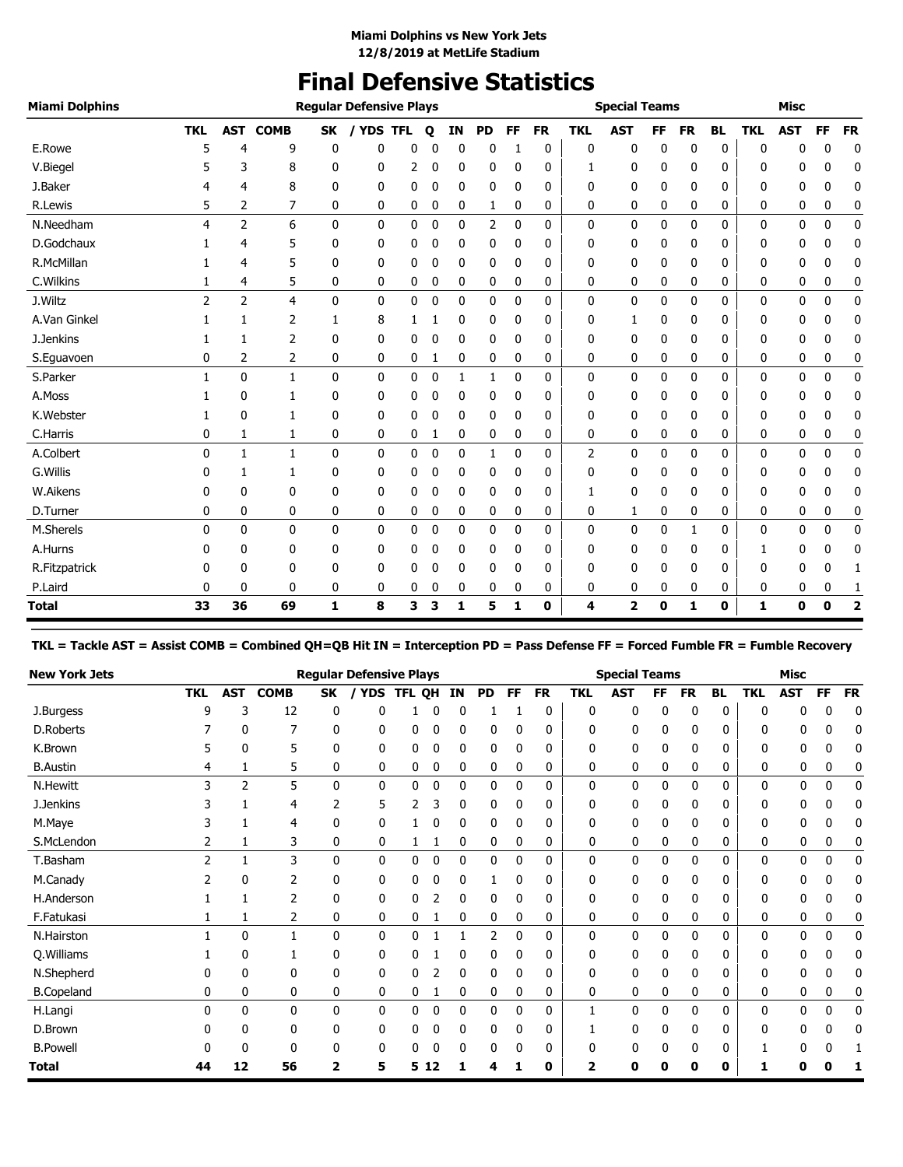## **Final Defensive Statistics**

| <b>Miami Dolphins</b> |            |                |              |              | <b>Regular Defensive Plays</b> |   |   |    |             |           |           |            | <b>Special Teams</b> |           |             |           |              | <b>Misc</b> |             |                         |
|-----------------------|------------|----------------|--------------|--------------|--------------------------------|---|---|----|-------------|-----------|-----------|------------|----------------------|-----------|-------------|-----------|--------------|-------------|-------------|-------------------------|
|                       | <b>TKL</b> | <b>AST</b>     | <b>COMB</b>  | <b>SK</b>    | / YDS TFL                      |   | Q | IN | <b>PD</b>   | <b>FF</b> | <b>FR</b> | <b>TKL</b> | <b>AST</b>           | <b>FF</b> | <b>FR</b>   | <b>BL</b> | <b>TKL</b>   | <b>AST</b>  | FF          | <b>FR</b>               |
| E.Rowe                | 5          | 4              | 9            | 0            | 0                              | 0 | O | 0  | 0           | 1         | 0         | 0          | 0                    | 0         | $\mathbf 0$ | 0         | $\mathbf{0}$ | 0           | 0           | 0                       |
| V.Biegel              |            | 3              | 8            | 0            | 0                              | 2 | 0 | 0  | 0           | 0         | 0         | 1          | 0                    | 0         | 0           | 0         | 0            | 0           | 0           | 0                       |
| J.Baker               | 4          | 4              | 8            | 0            | 0                              | 0 | 0 | 0  | 0           | 0         | 0         | 0          | 0                    | 0         | 0           | 0         | 0            | 0           | 0           | 0                       |
| R.Lewis               | 5          | 2              | 7            | 0            | 0                              | 0 | 0 | 0  | 1           | 0         | 0         | 0          | 0                    | 0         | 0           | 0         | 0            | 0           | 0           | 0                       |
| N.Needham             | 4          | $\overline{2}$ | 6            | $\mathbf{0}$ | $\mathbf 0$                    | 0 | 0 | 0  | 2           | 0         | 0         | 0          | 0                    | 0         | 0           | 0         | 0            | 0           | $\mathbf 0$ | 0                       |
| D.Godchaux            |            | 4              | 5            | 0            | 0                              | 0 | 0 | 0  | 0           | 0         | 0         | 0          | 0                    | 0         | 0           | 0         | 0            | 0           | 0           | 0                       |
| R.McMillan            |            | 4              | 5            | 0            | 0                              | 0 | 0 | 0  | 0           | 0         | 0         | 0          | 0                    | 0         | 0           | 0         | 0            | 0           | 0           | 0                       |
| C.Wilkins             |            | 4              | 5            | 0            | 0                              | 0 | 0 | 0  | 0           | 0         | 0         | 0          | 0                    | 0         | 0           | 0         | 0            | 0           | 0           | 0                       |
| J.Wiltz               | 2          | $\overline{2}$ | 4            | $\mathbf{0}$ | $\mathbf 0$                    | 0 | 0 | 0  | $\mathbf 0$ | 0         | 0         | 0          | 0                    | 0         | 0           | 0         | $\mathbf 0$  | 0           | $\mathbf 0$ | $\mathbf 0$             |
| A.Van Ginkel          |            |                | 2            | 1            | 8                              |   |   | 0  | 0           | 0         | 0         | 0          | 1                    | 0         | 0           | 0         | 0            | 0           | 0           | 0                       |
| J.Jenkins             |            | 1              | 2            | 0            | 0                              | 0 | 0 | 0  | 0           | 0         | 0         | 0          | 0                    | 0         | 0           | 0         | 0            | 0           | 0           | 0                       |
| S.Eguavoen            | 0          | 2              | 2            | 0            | 0                              | 0 | 1 | 0  | 0           | 0         | 0         | 0          | 0                    | 0         | 0           | 0         | 0            | 0           | 0           | 0                       |
| S.Parker              |            | 0              | $\mathbf{1}$ | $\mathbf 0$  | $\mathbf 0$                    | 0 | 0 | 1  | 1           | 0         | 0         | 0          | 0                    | 0         | 0           | 0         | 0            | 0           | $\mathbf 0$ | 0                       |
| A.Moss                |            | 0              | 1            | 0            | 0                              | 0 | 0 | 0  | 0           | 0         | 0         | 0          | 0                    | 0         | 0           | 0         | 0            | 0           | 0           | 0                       |
| K.Webster             |            | $\mathbf{0}$   | 1            | 0            | 0                              | 0 | 0 | 0  | 0           | 0         | 0         | 0          | 0                    | 0         | 0           | 0         | 0            | 0           | 0           | 0                       |
| C.Harris              | 0          | 1              | 1            | 0            | 0                              | 0 | 1 | 0  | 0           | 0         | 0         | 0          | 0                    | 0         | 0           | 0         | 0            | 0           | 0           | 0                       |
| A.Colbert             | $\Omega$   | 1              | 1            | 0            | $\mathbf{0}$                   | 0 | 0 | 0  | 1           | 0         | 0         | 2          | 0                    | 0         | 0           | 0         | 0            | 0           | $\mathbf 0$ | 0                       |
| G. Willis             | 0          | 1              | 1            | 0            | 0                              | 0 | 0 | 0  | 0           | 0         | 0         | 0          | 0                    | 0         | 0           | 0         | 0            | 0           | 0           | 0                       |
| W.Aikens              | 0          | 0              | 0            | 0            | 0                              | 0 | 0 | 0  | 0           | 0         | 0         | 1          | 0                    | 0         | 0           | 0         | 0            | 0           | 0           | 0                       |
| D.Turner              | 0          | 0              | 0            | 0            | 0                              | 0 | 0 | 0  | 0           | 0         | 0         | 0          | 1                    | 0         | 0           | 0         | 0            | 0           | 0           | 0                       |
| M.Sherels             | 0          | 0              | $\mathbf 0$  | $\mathbf 0$  | 0                              | 0 | 0 | 0  | 0           | 0         | 0         | 0          | 0                    | 0         | 1           | 0         | 0            | 0           | 0           | 0                       |
| A.Hurns               |            | 0              | 0            | 0            | 0                              | 0 | 0 | 0  | 0           | 0         | 0         | 0          | 0                    | 0         | 0           | 0         | 1            | 0           | 0           | 0                       |
| R.Fitzpatrick         |            | 0              | 0            | 0            | 0                              | 0 | 0 | 0  | 0           | 0         | 0         | 0          | 0                    | 0         | 0           | 0         | 0            | 0           | 0           | 1                       |
| P.Laird               | 0          | 0              | 0            | 0            | 0                              | 0 | 0 | 0  | 0           | 0         | 0         | 0          | 0                    | 0         | 0           | 0         | 0            | 0           | 0           | 1                       |
| Total                 | 33         | 36             | 69           | 1            | 8                              | 3 | 3 | 1  | 5           | 1         | 0         | 4          | 2                    | 0         | 1           | 0         | 1            | 0           | $\bf{0}$    | $\overline{\mathbf{2}}$ |

**TKL = Tackle AST = Assist COMB = Combined QH=QB Hit IN = Interception PD = Pass Defense FF = Forced Fumble FR = Fumble Recovery**

| <b>New York Jets</b> |            |              |             |    | <b>Regular Defensive Plays</b> |        |    |             |           |           |           |            | <b>Special Teams</b> |    |              |              |              | Misc       |             |           |
|----------------------|------------|--------------|-------------|----|--------------------------------|--------|----|-------------|-----------|-----------|-----------|------------|----------------------|----|--------------|--------------|--------------|------------|-------------|-----------|
|                      | <b>TKL</b> | <b>AST</b>   | <b>COMB</b> | SK | <b>YDS</b>                     | TFL QH |    | IN          | <b>PD</b> | <b>FF</b> | <b>FR</b> | <b>TKL</b> | <b>AST</b>           | FF | <b>FR</b>    | <b>BL</b>    | <b>TKL</b>   | <b>AST</b> | FF          | <b>FR</b> |
| J.Burgess            | 9          | 3            | 12          | 0  | 0                              |        | 0  | 0           |           |           | 0         | 0          | 0                    | 0  | 0            | 0            | $\mathbf{0}$ | 0          | 0           | 0         |
| D.Roberts            |            | 0            |             | 0  | 0                              | 0      | 0  | 0           | 0         | 0         | 0         | 0          | 0                    |    | 0            | 0            | 0            | 0          | 0           | 0         |
| K.Brown              |            | 0            | 5           | 0  | 0                              | 0      |    | 0           | 0         | 0         | 0         | 0          | 0                    |    | 0            | 0            | 0            | 0          |             | 0         |
| <b>B.Austin</b>      |            |              | 5           | 0  | 0                              | 0      | 0  | 0           | 0         | 0         | 0         | 0          | 0                    | 0  | 0            | 0            | 0            | 0          | 0           | 0         |
| <b>N.Hewitt</b>      |            | 2            | 5           | 0  | 0                              | 0      | 0  | $\mathbf 0$ | 0         | 0         | 0         | 0          | 0                    | 0  | 0            | 0            | $\mathbf{0}$ | 0          | $\mathbf 0$ | 0         |
| J.Jenkins            |            |              | 4           | 2  | 5                              |        |    | 0           | 0         | 0         | 0         | 0          | 0                    |    | 0            | 0            | 0            | 0          |             | 0         |
| M.Maye               |            |              | 4           | 0  | 0                              |        | 0  | 0           | 0         | 0         | 0         | 0          | 0                    | 0  | 0            | 0            | 0            | 0          | 0           | 0         |
| S.McLendon           |            |              | 3           | 0  | 0                              |        |    | 0           | 0         | 0         | 0         | 0          | 0                    | 0  | 0            | 0            | 0            | 0          | 0           | 0         |
| T.Basham             | っ          |              | 3           | 0  | 0                              | 0      | 0  | $\mathbf 0$ | 0         | 0         | 0         | 0          | 0                    | 0  | 0            | 0            | 0            | 0          | 0           | 0         |
| M.Canady             |            | 0            | 2           | 0  | 0                              | 0      | 0  | 0           |           | 0         | 0         | 0          | 0                    | 0  | 0            | $\mathbf{0}$ | 0            | 0          | U           | 0         |
| H.Anderson           |            |              |             | 0  | 0                              | 0      |    | 0           | 0         | 0         | 0         | 0          | 0                    |    | 0            | 0            | 0            | 0          | 0           | 0         |
| F.Fatukasi           |            | 1            | 2           | 0  | 0                              | 0      |    | 0           | 0         | 0         | 0         | 0          | 0                    | 0  | 0            | 0            | 0            | 0          | 0           | C         |
| N.Hairston           |            | $\mathbf{0}$ | 1           | 0  | $\mathbf{0}$                   | 0      |    | -1          | 2         | $\Omega$  | 0         | 0          | 0                    | 0  | $\mathbf{0}$ | 0            | $\mathbf{0}$ | 0          | $\mathbf 0$ | 0         |
| Q. Williams          |            | 0            |             | 0  | 0                              | 0      |    | 0           | 0         | 0         | 0         | 0          | 0                    | 0  | 0            | 0            | 0            | 0          | 0           | 0         |
| N.Shepherd           |            | 0            | 0           | 0  | 0                              | 0      |    | 0           | 0         | 0         | 0         | 0          | 0                    | 0  | 0            | 0            | 0            | 0          | 0           | 0         |
| <b>B.Copeland</b>    | 0          | 0            | 0           | 0  | 0                              | 0      |    | 0           | 0         | 0         | 0         | 0          | 0                    | 0  | 0            | 0            | 0            | 0          | 0           | 0         |
| H.Langi              | 0          | 0            | 0           | 0  | 0                              | 0      | 0  | $\bf{0}$    | 0         | 0         | 0         | 1          | 0                    | 0  | 0            | 0            | 0            | 0          | $\mathbf 0$ | 0         |
| D.Brown              |            | 0            | 0           | 0  | 0                              | 0      | C  | 0           | 0         | 0         | 0         |            | 0                    |    | 0            | 0            | 0            | 0          | 0           | 0         |
| <b>B.Powell</b>      |            | ŋ            | 0           | 0  | 0                              | 0      |    | 0           | 0         | 0         | 0         | 0          | 0                    |    | 0            | 0            |              | 0          |             |           |
| Total                | 44         | 12           | 56          | 2  | 5                              | 5      | 12 |             | 4         |           | 0         |            | Ω                    |    | 0            | 0            |              | Ω          |             |           |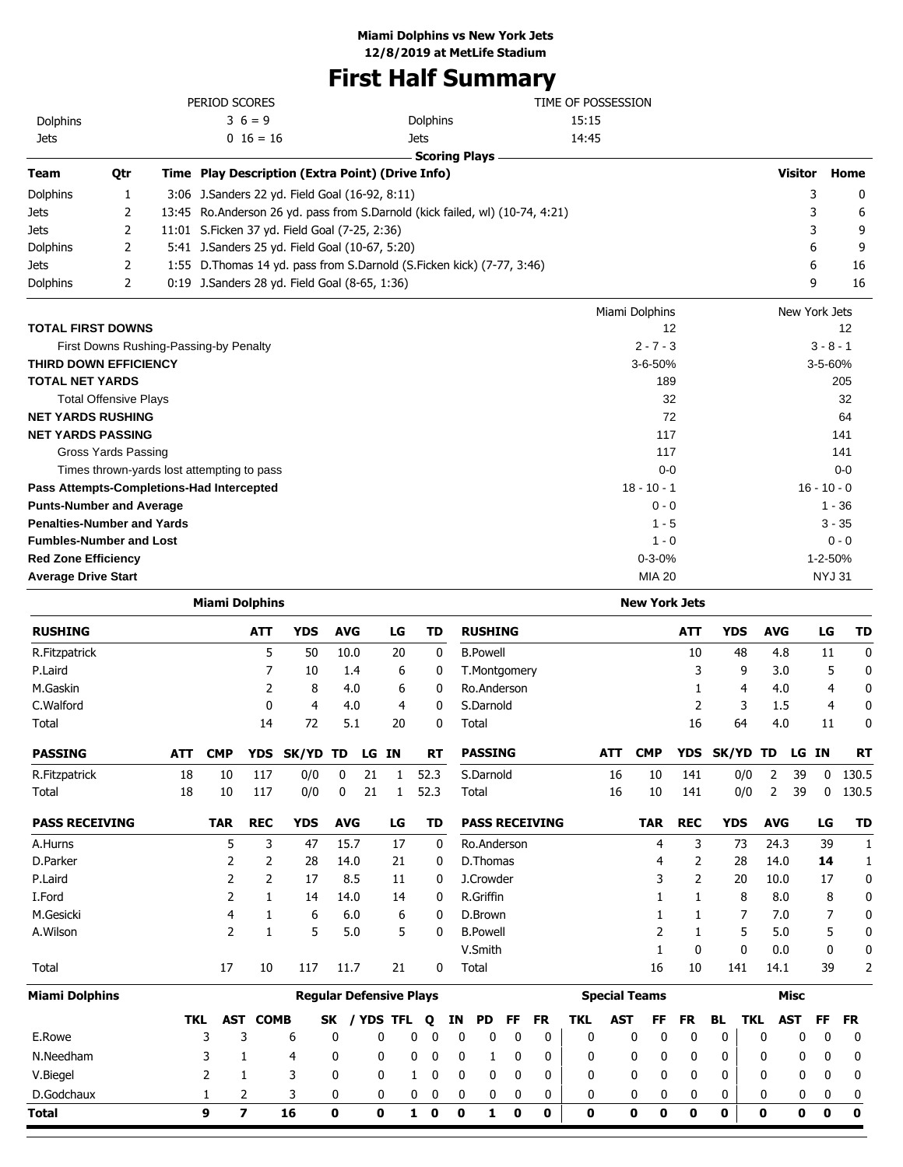# **First Half Summary**

|                                   |                              | PERIOD SCORES                                    |                                                                                | TIME OF POSSESSION |                |               |
|-----------------------------------|------------------------------|--------------------------------------------------|--------------------------------------------------------------------------------|--------------------|----------------|---------------|
| Dolphins                          |                              | $36 = 9$                                         | Dolphins                                                                       | 15:15              |                |               |
| <b>Jets</b>                       |                              | $0\;16=16$                                       | <b>Jets</b>                                                                    | 14:45              |                |               |
|                                   |                              |                                                  | <b>Scoring Plays</b>                                                           |                    |                |               |
| <b>Team</b>                       | Qtr                          | Time Play Description (Extra Point) (Drive Info) |                                                                                |                    | <b>Visitor</b> | Home          |
| Dolphins                          | 1                            | 3:06 J.Sanders 22 yd. Field Goal (16-92, 8:11)   |                                                                                |                    | 3              | 0             |
| <b>Jets</b>                       | 2                            |                                                  | 13:45 Ro. Anderson 26 yd. pass from S. Darnold (kick failed, wl) (10-74, 4:21) |                    | 3              | 6             |
| <b>Jets</b>                       | 2                            | 11:01 S.Ficken 37 yd. Field Goal (7-25, 2:36)    |                                                                                |                    | 3              | 9             |
| Dolphins                          | 2                            | 5:41 J.Sanders 25 yd. Field Goal (10-67, 5:20)   |                                                                                |                    | 6              | 9             |
| <b>Jets</b>                       | 2                            |                                                  | 1:55 D. Thomas 14 yd. pass from S. Darnold (S. Ficken kick) (7-77, 3:46)       |                    | 6              | 16            |
| Dolphins                          | 2                            | 0:19 J.Sanders 28 yd. Field Goal (8-65, 1:36)    |                                                                                |                    | 9              | 16            |
|                                   |                              |                                                  |                                                                                | Miami Dolphins     | New York Jets  |               |
| <b>TOTAL FIRST DOWNS</b>          |                              |                                                  |                                                                                | 12                 |                | 12            |
|                                   |                              | First Downs Rushing-Passing-by Penalty           |                                                                                | $2 - 7 - 3$        |                | $3 - 8 - 1$   |
| THIRD DOWN EFFICIENCY             |                              |                                                  |                                                                                | 3-6-50%            |                | 3-5-60%       |
| <b>TOTAL NET YARDS</b>            |                              |                                                  |                                                                                | 189                |                | 205           |
|                                   | <b>Total Offensive Plays</b> |                                                  |                                                                                | 32                 |                | 32            |
| <b>NET YARDS RUSHING</b>          |                              |                                                  |                                                                                | 72                 |                | 64            |
| <b>NET YARDS PASSING</b>          |                              |                                                  |                                                                                | 117                |                | 141           |
|                                   | Gross Yards Passing          |                                                  |                                                                                | 117                |                | 141           |
|                                   |                              | Times thrown-yards lost attempting to pass       |                                                                                | $0 - 0$            |                | $0-0$         |
|                                   |                              | Pass Attempts-Completions-Had Intercepted        |                                                                                | $18 - 10 - 1$      |                | $16 - 10 - 0$ |
| <b>Punts-Number and Average</b>   |                              |                                                  |                                                                                | $0 - 0$            |                | $1 - 36$      |
| <b>Penalties-Number and Yards</b> |                              |                                                  |                                                                                | $1 - 5$            |                | $3 - 35$      |
| <b>Fumbles-Number and Lost</b>    |                              |                                                  |                                                                                | $1 - 0$            |                | $0 - 0$       |
| <b>Red Zone Efficiency</b>        |                              |                                                  |                                                                                | $0 - 3 - 0%$       |                | 1-2-50%       |
| <b>Average Drive Start</b>        |                              |                                                  |                                                                                | <b>MIA 20</b>      |                | <b>NYJ 31</b> |

|                       |            | <b>Miami Dolphins</b> |                         |                                |              |    |              |              |             |              |                 |             |                       |             |                      | <b>New York Jets</b> |              |              |                         |                |             |              |              |
|-----------------------|------------|-----------------------|-------------------------|--------------------------------|--------------|----|--------------|--------------|-------------|--------------|-----------------|-------------|-----------------------|-------------|----------------------|----------------------|--------------|--------------|-------------------------|----------------|-------------|--------------|--------------|
| <b>RUSHING</b>        |            |                       | <b>ATT</b>              | <b>YDS</b>                     | <b>AVG</b>   |    | LG           |              | <b>TD</b>   |              | <b>RUSHING</b>  |             |                       |             |                      |                      |              | <b>ATT</b>   | <b>YDS</b>              | <b>AVG</b>     |             | LG           | <b>TD</b>    |
| R.Fitzpatrick         |            |                       | 5                       | 50                             | 10.0         |    | 20           |              | 0           |              | <b>B.Powell</b> |             |                       |             |                      |                      |              | 10           | 48                      |                | 4.8         | 11           | $\mathbf 0$  |
| P.Laird               |            |                       | 7                       | 10                             | 1.4          |    | 6            |              | 0           |              | T.Montgomery    |             |                       |             |                      |                      |              | 3            | 9                       |                | 3.0         | 5            | $\mathbf 0$  |
| M.Gaskin              |            |                       | 2                       | 8                              | 4.0          |    | 6            |              | 0           |              | Ro.Anderson     |             |                       |             |                      |                      |              | 1            | 4                       |                | 4.0         | 4            | $\mathbf 0$  |
| C.Walford             |            |                       | 0                       | 4                              | 4.0          |    | 4            |              | 0           |              | S.Darnold       |             |                       |             |                      |                      |              | 2            | 3                       |                | 1.5         | 4            | 0            |
| Total                 |            |                       | 14                      | 72                             | 5.1          |    | 20           |              | 0           |              | Total           |             |                       |             |                      |                      |              | 16           | 64                      |                | 4.0         | 11           | 0            |
| <b>PASSING</b>        | <b>ATT</b> | <b>CMP</b>            | <b>YDS</b>              | <b>SK/YD</b>                   | TD           |    | LG IN        |              | <b>RT</b>   |              | <b>PASSING</b>  |             |                       |             | <b>ATT</b>           | <b>CMP</b>           |              | <b>YDS</b>   | SK/YD TD                |                | LG IN       |              | <b>RT</b>    |
| R.Fitzpatrick         | 18         | 10                    | 117                     | 0/0                            | 0            | 21 | 1            | 52.3         |             |              | S.Darnold       |             |                       |             | 16                   | 10                   |              | 141          | 0/0                     | $\overline{2}$ | 39          | $\mathbf{0}$ | 130.5        |
| Total                 | 18         | 10                    | 117                     | 0/0                            | 0            | 21 | 1            | 52.3         |             |              | Total           |             |                       |             | 16                   | 10                   |              | 141          | 0/0                     | 2              | 39          | 0            | 130.5        |
| <b>PASS RECEIVING</b> |            | <b>TAR</b>            | <b>REC</b>              | <b>YDS</b>                     | <b>AVG</b>   |    | LG           |              | TD          |              |                 |             | <b>PASS RECEIVING</b> |             |                      | <b>TAR</b>           |              | <b>REC</b>   | <b>YDS</b>              | <b>AVG</b>     |             | LG           | <b>TD</b>    |
| A.Hurns               |            | 5                     | 3                       | 47                             | 15.7         |    | 17           |              | 0           |              | Ro.Anderson     |             |                       |             |                      | 4                    |              | 3            | 73                      | 24.3           |             | 39           | $\mathbf{1}$ |
| D.Parker              |            | 2                     | 2                       | 28                             | 14.0         |    | 21           |              | 0           |              | D.Thomas        |             |                       |             |                      | 4                    |              | 2            | 28                      | 14.0           |             | 14           | 1            |
| P.Laird               |            | 2                     | 2                       | 17                             | 8.5          |    | 11           |              | 0           |              | J.Crowder       |             |                       |             |                      |                      | 3            | 2            | 20                      | 10.0           |             | 17           | 0            |
| I.Ford                |            | 2                     | 1                       | 14                             | 14.0         |    | 14           |              | 0           |              | R.Griffin       |             |                       |             |                      |                      | 1            | 1            | 8                       |                | 8.0         | 8            | 0            |
| M.Gesicki             |            | 4                     | 1                       | 6                              | 6.0          |    | 6            |              | 0           |              | D.Brown         |             |                       |             |                      | 1                    |              | 1            | 7                       |                | 7.0         | 7            | 0            |
| A.Wilson              |            | 2                     | 1                       | 5                              | 5.0          |    | 5            |              | 0           |              | <b>B.Powell</b> |             |                       |             |                      |                      | 2            | 1            | 5                       |                | 5.0         | 5            | 0            |
|                       |            |                       |                         |                                |              |    |              |              |             |              | V.Smith         |             |                       |             |                      | 1                    |              | $\mathbf{0}$ | $\mathbf{0}$            |                | 0.0         | $\mathbf{0}$ | 0            |
| Total                 |            | 17                    | 10                      | 117                            | 11.7         |    | 21           |              | 0           |              | Total           |             |                       |             |                      | 16                   |              | 10           | 141                     | 14.1           |             | 39           | 2            |
| Miami Dolphins        |            |                       |                         | <b>Regular Defensive Plays</b> |              |    |              |              |             |              |                 |             |                       |             | <b>Special Teams</b> |                      |              |              |                         |                | <b>Misc</b> |              |              |
|                       | <b>TKL</b> | AST                   | <b>COMB</b>             |                                | <b>SK</b>    |    | / YDS TFL    | Q            |             | ΙN           | <b>PD</b>       | <b>FF</b>   | <b>FR</b>             | <b>TKL</b>  | <b>AST</b>           | FF                   | <b>FR</b>    |              | <b>BL</b><br><b>TKL</b> |                | <b>AST</b>  | FF           | <b>FR</b>    |
| E.Rowe                |            | 3                     | 3                       | 6                              | 0            |    | 0            | 0            | 0           | 0            | 0               | 0           | 0                     | 0           |                      | 0                    | 0            | $\mathbf 0$  | 0                       | 0              | 0           | 0            | 0            |
| N.Needham             |            | 3                     | 1                       | 4                              | 0            |    | 0            | 0            | 0           | 0            | 1               | 0           | 0                     | 0           |                      | 0                    | 0            | 0            | 0                       | 0              | 0           | 0            | 0            |
| V.Biegel              |            | $\overline{2}$        | 1                       | 3                              | $\mathbf{0}$ |    | $\mathbf{0}$ | $\mathbf{1}$ | 0           | $\mathbf{0}$ | 0               | 0           | 0                     | 0           |                      | $\mathbf{0}$         | $\mathbf{0}$ | 0            | 0                       | 0              | 0           | 0            | 0            |
| D.Godchaux            |            | 1                     | 2                       | 3                              | 0            |    | 0            | 0            | 0           | 0            | 0               | 0           | 0                     | 0           |                      | 0                    | 0            | 0            | 0                       | 0              | 0           | 0            | 0            |
| <b>Total</b>          |            | 9                     | $\overline{\mathbf{z}}$ | 16                             | $\bf{0}$     |    | O            | $\mathbf{1}$ | $\mathbf 0$ | $\mathbf 0$  | 1               | $\mathbf 0$ | 0                     | $\mathbf 0$ |                      | $\bf{0}$             | $\mathbf 0$  | O            | O                       | $\bf{0}$       | $\mathbf 0$ | $\mathbf{0}$ | $\mathbf 0$  |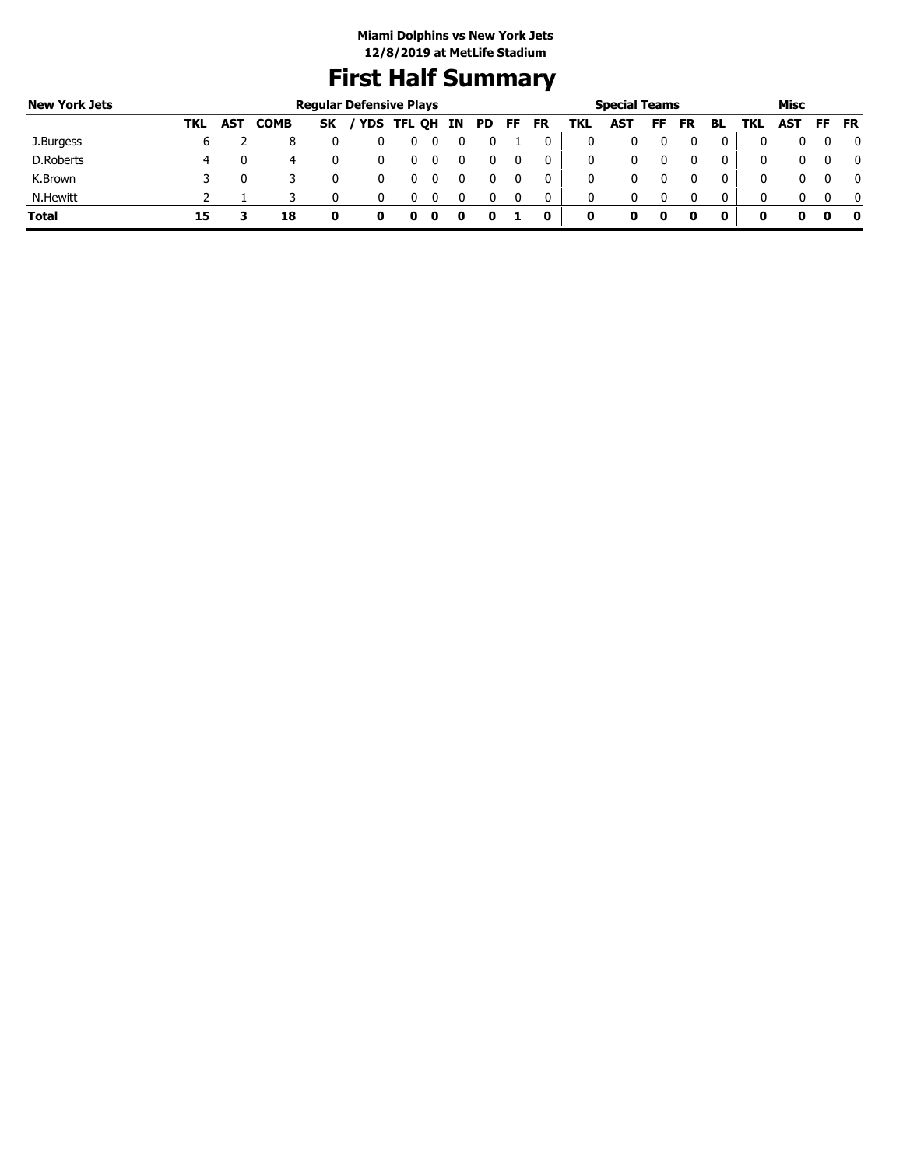## **First Half Summary**

| <b>New York Jets</b> |     |            |             |           | <b>Regular Defensive Plays</b> |               |  |       |           |     | <b>Special Teams</b> |    |           |    |     | Misc       |          |           |
|----------------------|-----|------------|-------------|-----------|--------------------------------|---------------|--|-------|-----------|-----|----------------------|----|-----------|----|-----|------------|----------|-----------|
|                      | TKL | <b>AST</b> | <b>COMB</b> | <b>SK</b> |                                | YDS TFL QH IN |  | PD FF | <b>FR</b> | TKL | AST                  | FF | <b>FR</b> | BL | TKL | <b>AST</b> | FF.      | <b>FR</b> |
| J.Burgess            | ь   |            |             |           |                                |               |  |       |           | 0   |                      |    |           |    |     | 0          | 0        |           |
| D.Roberts            | 4   |            | 4           |           |                                |               |  |       |           | 0   |                      |    |           |    |     | 0          | $\Omega$ |           |
| K.Brown              |     |            |             |           |                                |               |  |       |           | 0   |                      |    |           |    |     | 0          |          |           |
| N.Hewitt             |     |            |             |           |                                |               |  |       | $\Omega$  | 0   | 0                    |    |           |    | 0   | 0          | $\Omega$ |           |
| <b>Total</b>         | 15  |            | 18          |           |                                |               |  |       | 0         | 0   |                      |    |           | 0  | 0   |            | 0        |           |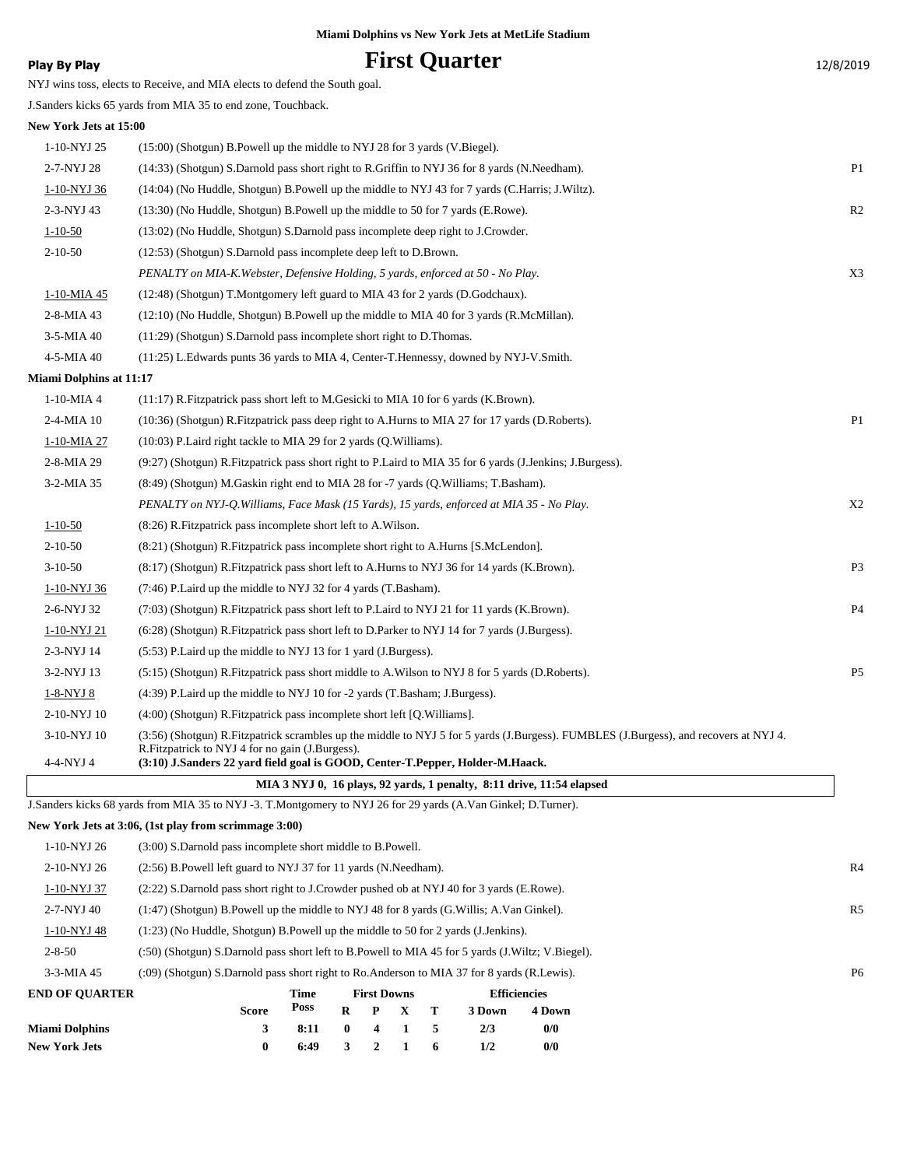## **Play By Play Play Play First Quarter** 12/8/2019

NYJ wins toss, elects to Receive, and MIA elects to defend the South goal. J.Sanders kicks 65 yards from MIA 35 to end zone, Touchback. **New York Jets at 15:00** 1-10-NYJ 25 (15:00) (Shotgun) B.Powell up the middle to NYJ 28 for 3 yards (V.Biegel). 2-7-NYJ 28 (14:33) (Shotgun) S.Darnold pass short right to R.Griffin to NYJ 36 for 8 yards (N.Needham). P1 1-10-NYJ 36 (14:04) (No Huddle, Shotgun) B.Powell up the middle to NYJ 43 for 7 yards (C.Harris; J.Wiltz). 2-3-NYJ 43 (13:30) (No Huddle, Shotgun) B.Powell up the middle to 50 for 7 yards (E.Rowe). R2 1-10-50 (13:02) (No Huddle, Shotgun) S.Darnold pass incomplete deep right to J.Crowder. 2-10-50 (12:53) (Shotgun) S.Darnold pass incomplete deep left to D.Brown. *PENALTY on MIA-K.Webster, Defensive Holding, 5 yards, enforced at 50 - No Play.* X3 1-10-MIA 45 (12:48) (Shotgun) T.Montgomery left guard to MIA 43 for 2 yards (D.Godchaux). 2-8-MIA 43 (12:10) (No Huddle, Shotgun) B.Powell up the middle to MIA 40 for 3 yards (R.McMillan). 3-5-MIA 40 (11:29) (Shotgun) S.Darnold pass incomplete short right to D.Thomas. 4-5-MIA 40 (11:25) L.Edwards punts 36 yards to MIA 4, Center-T.Hennessy, downed by NYJ-V.Smith. **Miami Dolphins at 11:17** 1-10-MIA 4 (11:17) R.Fitzpatrick pass short left to M.Gesicki to MIA 10 for 6 yards (K.Brown). 2-4-MIA 10 (10:36) (Shotgun) R.Fitzpatrick pass deep right to A.Hurns to MIA 27 for 17 yards (D.Roberts). P1 1-10-MIA 27 (10:03) P.Laird right tackle to MIA 29 for 2 yards (Q.Williams). 2-8-MIA 29 (9:27) (Shotgun) R.Fitzpatrick pass short right to P.Laird to MIA 35 for 6 yards (J.Jenkins; J.Burgess). 3-2-MIA 35 (8:49) (Shotgun) M.Gaskin right end to MIA 28 for -7 yards (Q.Williams; T.Basham). *PENALTY on NYJ-Q.Williams, Face Mask (15 Yards), 15 yards, enforced at MIA 35 - No Play.* X2 1-10-50 (8:26) R.Fitzpatrick pass incomplete short left to A.Wilson. 2-10-50 (8:21) (Shotgun) R.Fitzpatrick pass incomplete short right to A.Hurns [S.McLendon]. 3-10-50 (8:17) (Shotgun) R.Fitzpatrick pass short left to A.Hurns to NYJ 36 for 14 yards (K.Brown). P3 1-10-NYJ 36 (7:46) P.Laird up the middle to NYJ 32 for 4 yards (T.Basham). 2-6-NYJ 32 (7:03) (Shotgun) R.Fitzpatrick pass short left to P.Laird to NYJ 21 for 11 yards (K.Brown). P4 1-10-NYJ 21 (6:28) (Shotgun) R.Fitzpatrick pass short left to D.Parker to NYJ 14 for 7 yards (J.Burgess). 2-3-NYJ 14 (5:53) P.Laird up the middle to NYJ 13 for 1 yard (J.Burgess). 3-2-NYJ 13 (5:15) (Shotgun) R.Fitzpatrick pass short middle to A.Wilson to NYJ 8 for 5 yards (D.Roberts). P5 1-8-NYJ 8 (4:39) P.Laird up the middle to NYJ 10 for -2 yards (T.Basham; J.Burgess). 2-10-NYJ 10 (4:00) (Shotgun) R.Fitzpatrick pass incomplete short left [Q.Williams]. (3:56) (Shotgun) R.Fitzpatrick scrambles up the middle to NYJ 5 for 5 yards (J.Burgess). FUMBLES (J.Burgess), and recovers at NYJ 4. R.Fitzpatrick to NYJ 4 for no gain (J.Burgess). 3-10-NYJ 10 4-4-NYJ 4 **(3:10) J.Sanders 22 yard field goal is GOOD, Center-T.Pepper, Holder-M.Haack. MIA 3 NYJ 0, 16 plays, 92 yards, 1 penalty, 8:11 drive, 11:54 elapsed** J.Sanders kicks 68 yards from MIA 35 to NYJ -3. T.Montgomery to NYJ 26 for 29 yards (A.Van Ginkel; D.Turner). **New York Jets at 3:06, (1st play from scrimmage 3:00)** 1-10-NYJ 26 (3:00) S.Darnold pass incomplete short middle to B.Powell.

| <b>Miami Dolphins</b> |                                                                                                  | 8:11 | $\bf{0}$ | $\boldsymbol{4}$   |   | 5 | 2/3    | 0/0                 |                |
|-----------------------|--------------------------------------------------------------------------------------------------|------|----------|--------------------|---|---|--------|---------------------|----------------|
|                       | <b>Score</b>                                                                                     | Poss | R        | P                  | x | Т | 3 Down | 4 Down              |                |
| <b>END OF OUARTER</b> |                                                                                                  | Time |          | <b>First Downs</b> |   |   |        | <b>Efficiencies</b> |                |
| $3-3-MIA$ 45          | (:09) (Shotgun) S.Darnold pass short right to Ro.Anderson to MIA 37 for 8 yards (R.Lewis).       |      |          |                    |   |   |        |                     | P <sub>6</sub> |
| $2 - 8 - 50$          | (:50) (Shotgun) S.Darnold pass short left to B.Powell to MIA 45 for 5 yards (J.Wiltz; V.Biegel). |      |          |                    |   |   |        |                     |                |
| 1-10-NYJ 48           | $(1:23)$ (No Huddle, Shotgun) B. Powell up the middle to 50 for 2 yards (J. Jenkins).            |      |          |                    |   |   |        |                     |                |
| 2-7-NYJ 40            | $(1:47)$ (Shotgun) B. Powell up the middle to NYJ 48 for 8 yards (G. Willis; A. Van Ginkel).     |      |          |                    |   |   |        |                     | R <sub>5</sub> |
| 1-10-NYJ 37           | (2.22) S.Darnold pass short right to J.Crowder pushed ob at NYJ 40 for 3 yards (E.Rowe).         |      |          |                    |   |   |        |                     |                |
| 2-10-NYJ 26           | (2:56) B. Powell left guard to NYJ 37 for 11 yards (N. Needham).                                 |      |          |                    |   |   |        |                     | R <sub>4</sub> |

**New York Jets 0 6:49 3 2 1 6 1/2 0/0**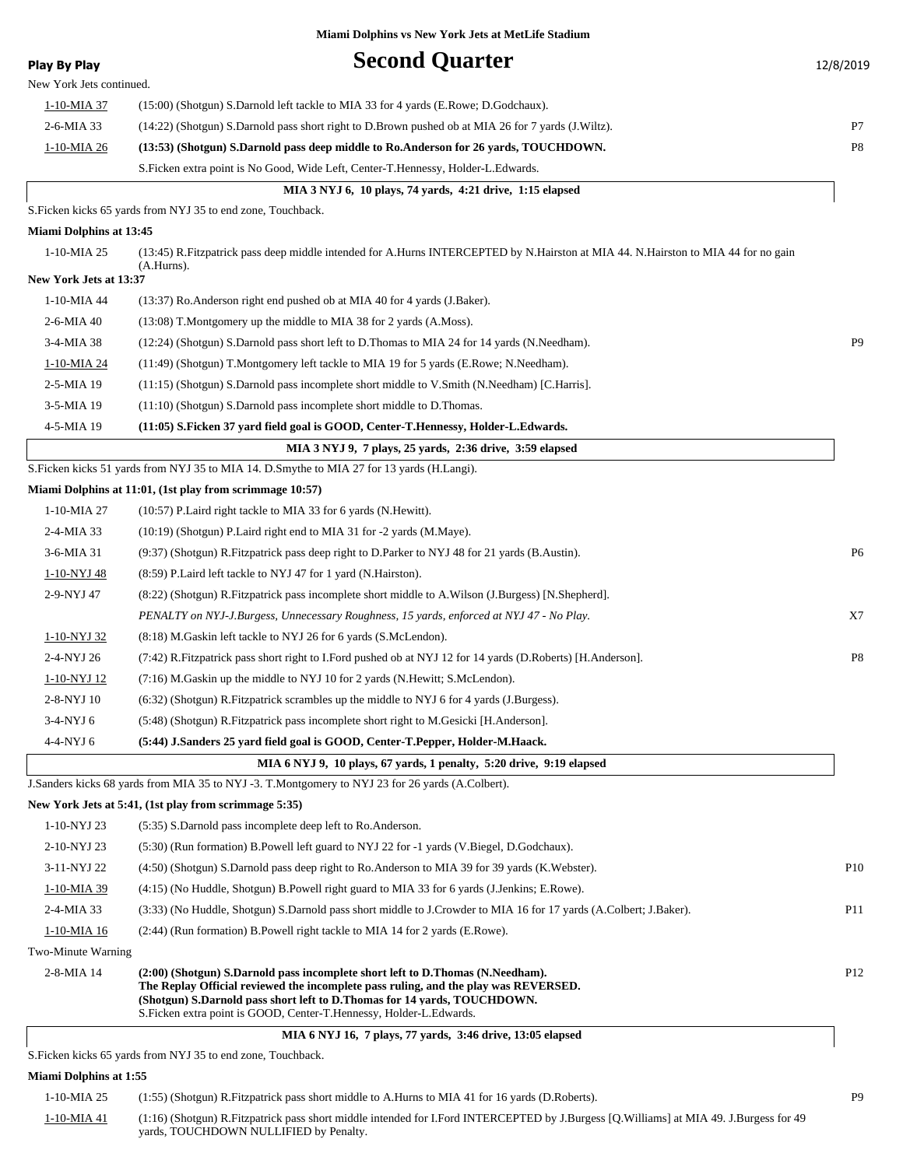| <b>Play By Play</b>      | <b>Second Quarter</b>                                                                                                                                                                                                                                                                                                   | 12/8/2019       |
|--------------------------|-------------------------------------------------------------------------------------------------------------------------------------------------------------------------------------------------------------------------------------------------------------------------------------------------------------------------|-----------------|
| New York Jets continued. |                                                                                                                                                                                                                                                                                                                         |                 |
| <u>1-10-MIA 37</u>       | (15:00) (Shotgun) S.Darnold left tackle to MIA 33 for 4 yards (E.Rowe; D.Godchaux).                                                                                                                                                                                                                                     |                 |
| 2-6-MIA 33               | (14:22) (Shotgun) S.Darnold pass short right to D.Brown pushed ob at MIA 26 for 7 yards (J.Wiltz).                                                                                                                                                                                                                      | P7              |
| 1-10-MIA 26              | (13:53) (Shotgun) S.Darnold pass deep middle to Ro.Anderson for 26 yards, TOUCHDOWN.                                                                                                                                                                                                                                    | P8              |
|                          | S. Ficken extra point is No Good, Wide Left, Center-T. Hennessy, Holder-L. Edwards.                                                                                                                                                                                                                                     |                 |
|                          | MIA 3 NYJ 6, 10 plays, 74 yards, 4:21 drive, 1:15 elapsed                                                                                                                                                                                                                                                               |                 |
|                          | S. Ficken kicks 65 yards from NYJ 35 to end zone, Touchback.                                                                                                                                                                                                                                                            |                 |
| Miami Dolphins at 13:45  |                                                                                                                                                                                                                                                                                                                         |                 |
| 1-10-MIA 25              | (13:45) R.Fitzpatrick pass deep middle intended for A.Hurns INTERCEPTED by N.Hairston at MIA 44. N.Hairston to MIA 44 for no gain<br>$(A.Hurns)$ .                                                                                                                                                                      |                 |
| New York Jets at 13:37   |                                                                                                                                                                                                                                                                                                                         |                 |
| 1-10-MIA 44              | (13:37) Ro. Anderson right end pushed ob at MIA 40 for 4 yards (J. Baker).                                                                                                                                                                                                                                              |                 |
| 2-6-MIA 40               | (13:08) T.Montgomery up the middle to MIA 38 for 2 yards (A.Moss).                                                                                                                                                                                                                                                      |                 |
| 3-4-MIA 38               | (12:24) (Shotgun) S.Darnold pass short left to D.Thomas to MIA 24 for 14 yards (N.Needham).                                                                                                                                                                                                                             | P <sub>9</sub>  |
| 1-10-MIA 24              | (11:49) (Shotgun) T.Montgomery left tackle to MIA 19 for 5 yards (E.Rowe; N.Needham).                                                                                                                                                                                                                                   |                 |
| 2-5-MIA 19               | (11:15) (Shotgun) S.Darnold pass incomplete short middle to V.Smith (N.Needham) [C.Harris].                                                                                                                                                                                                                             |                 |
| 3-5-MIA 19               | (11:10) (Shotgun) S.Darnold pass incomplete short middle to D.Thomas.                                                                                                                                                                                                                                                   |                 |
| 4-5-MIA 19               | (11:05) S.Ficken 37 yard field goal is GOOD, Center-T.Hennessy, Holder-L.Edwards.                                                                                                                                                                                                                                       |                 |
|                          | MIA 3 NYJ 9, 7 plays, 25 yards, 2:36 drive, 3:59 elapsed                                                                                                                                                                                                                                                                |                 |
|                          | S. Ficken kicks 51 yards from NYJ 35 to MIA 14. D. Smythe to MIA 27 for 13 yards (H. Langi).                                                                                                                                                                                                                            |                 |
|                          | Miami Dolphins at 11:01, (1st play from scrimmage 10:57)                                                                                                                                                                                                                                                                |                 |
| 1-10-MIA 27              | (10:57) P. Laird right tackle to MIA 33 for 6 yards (N. Hewitt).                                                                                                                                                                                                                                                        |                 |
| 2-4-MIA 33               | (10:19) (Shotgun) P. Laird right end to MIA 31 for -2 yards (M. Maye).                                                                                                                                                                                                                                                  |                 |
| 3-6-MIA 31               | (9:37) (Shotgun) R. Fitzpatrick pass deep right to D. Parker to NYJ 48 for 21 yards (B. Austin).                                                                                                                                                                                                                        | P6              |
| 1-10-NYJ 48              | (8:59) P. Laird left tackle to NYJ 47 for 1 yard (N. Hairston).                                                                                                                                                                                                                                                         |                 |
| 2-9-NYJ 47               | (8:22) (Shotgun) R.Fitzpatrick pass incomplete short middle to A.Wilson (J.Burgess) [N.Shepherd].                                                                                                                                                                                                                       |                 |
|                          | PENALTY on NYJ-J.Burgess, Unnecessary Roughness, 15 yards, enforced at NYJ 47 - No Play.<br>(8:18) M.Gaskin left tackle to NYJ 26 for 6 yards (S.McLendon).                                                                                                                                                             | X7              |
| 1-10-NYJ 32              |                                                                                                                                                                                                                                                                                                                         | P <sub>8</sub>  |
| 2-4-NYJ 26               | (7:42) R. Fitzpatrick pass short right to I. Ford pushed ob at NYJ 12 for 14 yards (D. Roberts) [H. Anderson].                                                                                                                                                                                                          |                 |
| 1-10-NYJ 12              | $(7.16)$ M. Gaskin up the middle to NYJ 10 for 2 yards (N. Hewitt; S. McLendon).                                                                                                                                                                                                                                        |                 |
| 2-8-NYJ 10<br>3-4-NYJ 6  | $(6:32)$ (Shotgun) R. Fitzpatrick scrambles up the middle to NYJ 6 for 4 yards (J. Burgess).<br>(5:48) (Shotgun) R. Fitzpatrick pass incomplete short right to M. Gesicki [H. Anderson].                                                                                                                                |                 |
|                          |                                                                                                                                                                                                                                                                                                                         |                 |
| 4-4-NYJ 6                | (5:44) J.Sanders 25 yard field goal is GOOD, Center-T.Pepper, Holder-M.Haack.                                                                                                                                                                                                                                           |                 |
|                          | MIA 6 NYJ 9, 10 plays, 67 yards, 1 penalty, 5:20 drive, 9:19 elapsed<br>J.Sanders kicks 68 yards from MIA 35 to NYJ -3. T.Montgomery to NYJ 23 for 26 yards (A.Colbert).                                                                                                                                                |                 |
|                          | New York Jets at 5:41, (1st play from scrimmage 5:35)                                                                                                                                                                                                                                                                   |                 |
| 1-10-NYJ 23              | (5:35) S.Darnold pass incomplete deep left to Ro.Anderson.                                                                                                                                                                                                                                                              |                 |
| 2-10-NYJ 23              | (5:30) (Run formation) B. Powell left guard to NYJ 22 for -1 yards (V. Biegel, D. Godchaux).                                                                                                                                                                                                                            |                 |
| 3-11-NYJ 22              | (4:50) (Shotgun) S.Darnold pass deep right to Ro.Anderson to MIA 39 for 39 yards (K.Webster).                                                                                                                                                                                                                           | P <sub>10</sub> |
| 1-10-MIA 39              | (4:15) (No Huddle, Shotgun) B.Powell right guard to MIA 33 for 6 yards (J.Jenkins; E.Rowe).                                                                                                                                                                                                                             |                 |
| 2-4-MIA 33               | (3:33) (No Huddle, Shotgun) S.Darnold pass short middle to J.Crowder to MIA 16 for 17 yards (A.Colbert; J.Baker).                                                                                                                                                                                                       | P <sub>11</sub> |
| 1-10-MIA 16              | (2:44) (Run formation) B.Powell right tackle to MIA 14 for 2 yards (E.Rowe).                                                                                                                                                                                                                                            |                 |
| Two-Minute Warning       |                                                                                                                                                                                                                                                                                                                         |                 |
| 2-8-MIA 14               | (2:00) (Shotgun) S.Darnold pass incomplete short left to D.Thomas (N.Needham).<br>The Replay Official reviewed the incomplete pass ruling, and the play was REVERSED.<br>(Shotgun) S.Darnold pass short left to D.Thomas for 14 yards, TOUCHDOWN.<br>S.Ficken extra point is GOOD, Center-T.Hennessy, Holder-L.Edwards. | P <sub>12</sub> |
|                          | MIA 6 NYJ 16, 7 plays, 77 yards, 3:46 drive, 13:05 elapsed<br>S. Ficken kicks 65 vards from NVI 35 to end zone. Touchback                                                                                                                                                                                               |                 |

S.Ficken kicks 65 yards from NYJ 35 to end zone, Touchback.

### **Miami Dolphins at 1:55**

| 1-10-MIA 25 | (1:55) (Shotgun) R. Fitzpatrick pass short middle to A. Hurns to MIA 41 for 16 yards (D. Roberts).                                                                               | <b>P</b> <sub>9</sub> |
|-------------|----------------------------------------------------------------------------------------------------------------------------------------------------------------------------------|-----------------------|
| 1-10-MIA 41 | (1:16) (Shotgun) R.Fitzpatrick pass short middle intended for I.Ford INTERCEPTED by J.Burgess [Q.Williams] at MIA 49. J.Burgess for 49<br>vards, TOUCHDOWN NULLIFIED by Penalty. |                       |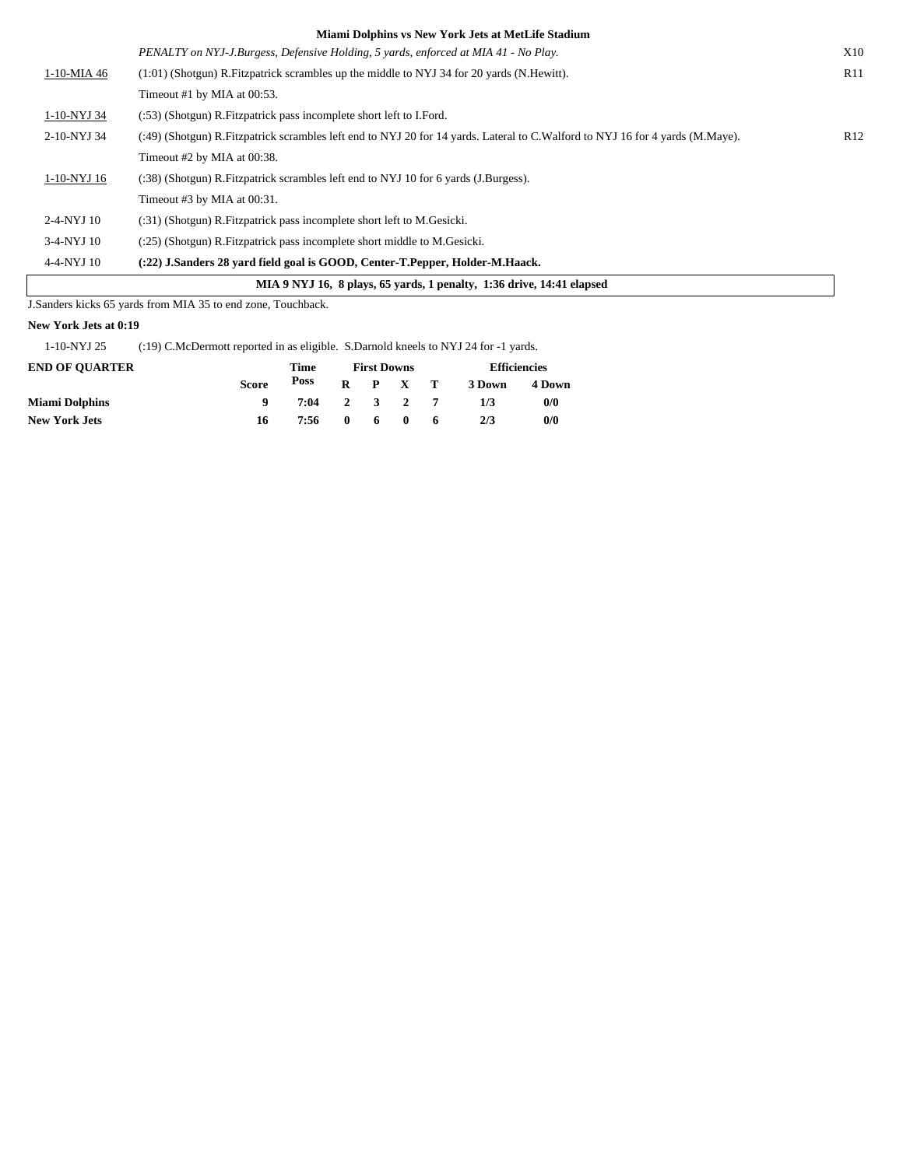|              | <u>naghli Dolphins vs ruw Tork sus at metene stadium</u>                                                                      |     |
|--------------|-------------------------------------------------------------------------------------------------------------------------------|-----|
|              | PENALTY on NYJ-J.Burgess, Defensive Holding, 5 yards, enforced at MIA 41 - No Play.                                           | X10 |
| 1-10-MIA 46  | $(1:01)$ (Shotgun) R. Fitzpatrick scrambles up the middle to NYJ 34 for 20 yards (N. Hewitt).                                 | R11 |
|              | Timeout #1 by MIA at $00:53$ .                                                                                                |     |
| 1-10-NYJ 34  | (:53) (Shotgun) R. Fitzpatrick pass incomplete short left to I. Ford.                                                         |     |
| 2-10-NYJ 34  | (:49) (Shotgun) R.Fitzpatrick scrambles left end to NYJ 20 for 14 yards. Lateral to C.Walford to NYJ 16 for 4 yards (M.Maye). | R12 |
|              | Timeout #2 by MIA at 00:38.                                                                                                   |     |
| 1-10-NYJ 16  | (:38) (Shotgun) R. Fitzpatrick scrambles left end to NYJ 10 for 6 yards (J. Burgess).                                         |     |
|              | Timeout #3 by MIA at 00:31.                                                                                                   |     |
| 2-4-NYJ 10   | (:31) (Shotgun) R. Fitzpatrick pass incomplete short left to M. Gesicki.                                                      |     |
| $3-4-NYJ$ 10 | $(25)$ (Shotgun) R. Fitzpatrick pass incomplete short middle to M. Gesicki.                                                   |     |
| $4-4-NYJ$ 10 | (:22) J.Sanders 28 vard field goal is GOOD, Center-T.Pepper, Holder-M.Haack.                                                  |     |
|              | MIA 9 NYJ 16, 8 plays, 65 yards, 1 penalty, 1:36 drive, 14:41 elapsed                                                         |     |

J.Sanders kicks 65 yards from MIA 35 to end zone, Touchback.

### **New York Jets at 0:19**

1-10-NYJ 25 (:19) C.McDermott reported in as eligible. S.Darnold kneels to NYJ 24 for -1 yards.

| <b>END OF OUARTER</b> |              | Time         |              |    | <b>First Downs</b> |    |        | <b>Efficiencies</b> |
|-----------------------|--------------|--------------|--------------|----|--------------------|----|--------|---------------------|
|                       | <b>Score</b> | Poss         |              |    | $R$ $P$ $X$ $T$    |    | 3 Down | 4 Down              |
| <b>Miami Dolphins</b> |              | 7:04 2 3 2 7 |              |    |                    |    | 1/3    | 0/0                 |
| <b>New York Jets</b>  | 16           | 7:56         | $\mathbf{0}$ | 60 |                    | -6 | 2/3    | 0/0                 |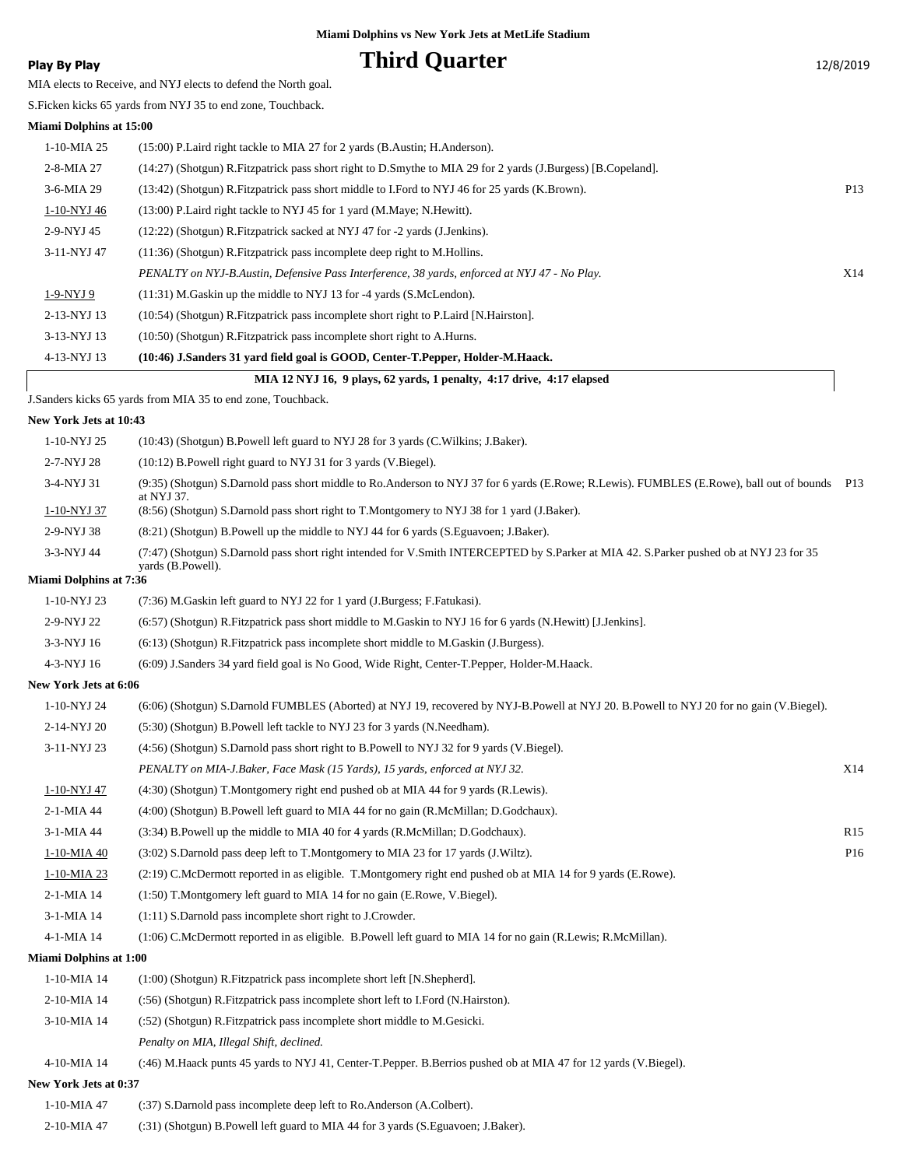## **Play By Play Play Play Play By Play Third Quarter** 12/8/2019

MIA elects to Receive, and NYJ elects to defend the North goal.

S.Ficken kicks 65 yards from NYJ 35 to end zone, Touchback.

### **Miami Dolphins at 15:00**

|               | MIA 12 NYJ 16, 9 plays, 62 yards, 1 penalty, 4:17 drive, 4:17 elapsed                                            |                 |
|---------------|------------------------------------------------------------------------------------------------------------------|-----------------|
| 4-13-NYJ 13   | (10:46) J.Sanders 31 vard field goal is GOOD, Center-T.Pepper, Holder-M.Haack.                                   |                 |
| 3-13-NYJ 13   | $(10:50)$ (Shotgun) R. Fitzpatrick pass incomplete short right to A. Hurns.                                      |                 |
| 2-13-NYJ 13   | $(10:54)$ (Shotgun) R. Fitzpatrick pass incomplete short right to P. Laird [N. Hairston].                        |                 |
| 1-9-NYJ 9     | $(11:31)$ M. Gaskin up the middle to NYJ 13 for -4 yards (S. McLendon).                                          |                 |
|               | PENALTY on NYJ-B.Austin, Defensive Pass Interference, 38 yards, enforced at NYJ 47 - No Play.                    | X14             |
| 3-11-NYJ 47   | $(11:36)$ (Shotgun) R. Fitzpatrick pass incomplete deep right to M. Hollins.                                     |                 |
| 2-9-NYJ 45    | (12:22) (Shotgun) R. Fitzpatrick sacked at NYJ 47 for -2 yards (J. Jenkins).                                     |                 |
| 1-10-NYJ 46   | (13:00) P. Laird right tackle to NYJ 45 for 1 yard (M. Maye: N. Hewitt).                                         |                 |
| $3-6$ -MIA 29 | (13:42) (Shotgun) R. Fitzpatrick pass short middle to I. Ford to NYJ 46 for 25 yards (K. Brown).                 | P <sub>13</sub> |
| 2-8-MIA 27    | (14:27) (Shotgun) R. Fitzpatrick pass short right to D. Smythe to MIA 29 for 2 yards (J. Burgess) [B. Copeland]. |                 |
| $1-10-MIA$ 25 | $(15:00)$ P. Laird right tackle to MIA 27 for 2 yards (B. Austin; H. Anderson).                                  |                 |
|               |                                                                                                                  |                 |

J.Sanders kicks 65 yards from MIA 35 to end zone, Touchback.

### **New York Jets at 10:43**

| 1-10-NYJ 25                   | (10:43) (Shotgun) B.Powell left guard to NYJ 28 for 3 yards (C.Wilkins; J.Baker).                                                                            |                 |
|-------------------------------|--------------------------------------------------------------------------------------------------------------------------------------------------------------|-----------------|
| 2-7-NYJ 28                    | (10:12) B.Powell right guard to NYJ 31 for 3 yards (V.Biegel).                                                                                               |                 |
| 3-4-NYJ 31                    | (9:35) (Shotgun) S.Darnold pass short middle to Ro.Anderson to NYJ 37 for 6 yards (E.Rowe; R.Lewis). FUMBLES (E.Rowe), ball out of bounds P13<br>at NYJ 37.  |                 |
| 1-10-NYJ 37                   | (8:56) (Shotgun) S.Darnold pass short right to T.Montgomery to NYJ 38 for 1 yard (J.Baker).                                                                  |                 |
| 2-9-NYJ 38                    | (8.21) (Shotgun) B.Powell up the middle to NYJ 44 for 6 yards (S.Eguavoen; J.Baker).                                                                         |                 |
| 3-3-NYJ 44                    | (7:47) (Shotgun) S.Darnold pass short right intended for V.Smith INTERCEPTED by S.Parker at MIA 42. S.Parker pushed ob at NYJ 23 for 35<br>vards (B.Powell). |                 |
| Miami Dolphins at 7:36        |                                                                                                                                                              |                 |
| 1-10-NYJ 23                   | (7:36) M. Gaskin left guard to NYJ 22 for 1 yard (J. Burgess; F. Fatukasi).                                                                                  |                 |
| 2-9-NYJ 22                    | (6.57) (Shotgun) R. Fitzpatrick pass short middle to M. Gaskin to NYJ 16 for 6 yards (N. Hewitt) [J. Jenkins].                                               |                 |
| 3-3-NYJ 16                    | (6:13) (Shotgun) R. Fitzpatrick pass incomplete short middle to M. Gaskin (J. Burgess).                                                                      |                 |
| 4-3-NYJ 16                    | (6:09) J.Sanders 34 yard field goal is No Good, Wide Right, Center-T.Pepper, Holder-M.Haack.                                                                 |                 |
| New York Jets at 6:06         |                                                                                                                                                              |                 |
| 1-10-NYJ 24                   | (6:06) (Shotgun) S.Darnold FUMBLES (Aborted) at NYJ 19, recovered by NYJ-B.Powell at NYJ 20. B.Powell to NYJ 20 for no gain (V.Biegel).                      |                 |
| 2-14-NYJ 20                   | (5:30) (Shotgun) B.Powell left tackle to NYJ 23 for 3 yards (N.Needham).                                                                                     |                 |
| 3-11-NYJ 23                   | (4:56) (Shotgun) S.Darnold pass short right to B.Powell to NYJ 32 for 9 yards (V.Biegel).                                                                    |                 |
|                               | PENALTY on MIA-J.Baker, Face Mask (15 Yards), 15 yards, enforced at NYJ 32.                                                                                  | X14             |
| 1-10-NYJ 47                   | (4:30) (Shotgun) T.Montgomery right end pushed ob at MIA 44 for 9 yards (R.Lewis).                                                                           |                 |
| 2-1-MIA 44                    | (4:00) (Shotgun) B.Powell left guard to MIA 44 for no gain (R.McMillan; D.Godchaux).                                                                         |                 |
| 3-1-MIA 44                    | (3:34) B. Powell up the middle to MIA 40 for 4 yards (R. McMillan; D. Godchaux).                                                                             | R <sub>15</sub> |
| 1-10-MIA 40                   | (3.02) S.Darnold pass deep left to T.Montgomery to MIA 23 for 17 yards (J.Wiltz).                                                                            | P <sub>16</sub> |
| 1-10-MIA 23                   | (2:19) C.McDermott reported in as eligible. T.Montgomery right end pushed ob at MIA 14 for 9 yards (E.Rowe).                                                 |                 |
| 2-1-MIA 14                    | (1:50) T.Montgomery left guard to MIA 14 for no gain (E.Rowe, V.Biegel).                                                                                     |                 |
| 3-1-MIA 14                    | $(1:11)$ S.Darnold pass incomplete short right to J.Crowder.                                                                                                 |                 |
| 4-1-MIA 14                    | (1:06) C.McDermott reported in as eligible. B.Powell left guard to MIA 14 for no gain (R.Lewis; R.McMillan).                                                 |                 |
| <b>Miami Dolphins at 1:00</b> |                                                                                                                                                              |                 |
| 1-10-MIA 14                   | (1:00) (Shotgun) R. Fitzpatrick pass incomplete short left [N. Shepherd].                                                                                    |                 |
| 2-10-MIA 14                   | (:56) (Shotgun) R.Fitzpatrick pass incomplete short left to I.Ford (N.Hairston).                                                                             |                 |
| 3-10-MIA 14                   | (:52) (Shotgun) R.Fitzpatrick pass incomplete short middle to M.Gesicki.                                                                                     |                 |
|                               | Penalty on MIA, Illegal Shift, declined.                                                                                                                     |                 |
| 4-10-MIA 14                   | (:46) M.Haack punts 45 yards to NYJ 41, Center-T.Pepper. B.Berrios pushed ob at MIA 47 for 12 yards (V.Biegel).                                              |                 |
| New York Jets at 0:37         |                                                                                                                                                              |                 |
| 1-10-MIA 47                   | (:37) S.Darnold pass incomplete deep left to Ro.Anderson (A.Colbert).                                                                                        |                 |
|                               |                                                                                                                                                              |                 |

2-10-MIA 47 (:31) (Shotgun) B.Powell left guard to MIA 44 for 3 yards (S.Eguavoen; J.Baker).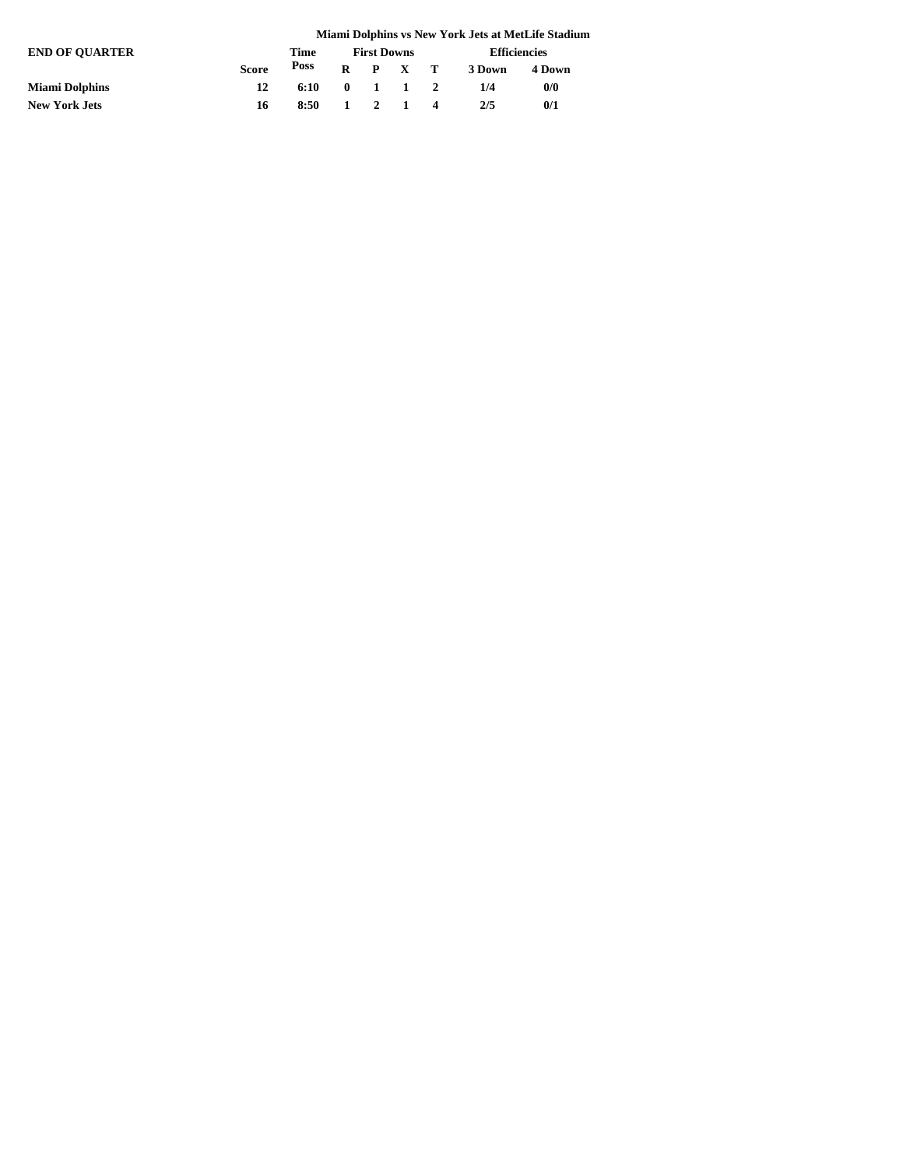|                       |              |      |              |                    |                     | Miami Dolphins vs New York Jets at MetLife Stadium |
|-----------------------|--------------|------|--------------|--------------------|---------------------|----------------------------------------------------|
| <b>END OF OUARTER</b> |              | Time |              | <b>First Downs</b> | <b>Efficiencies</b> |                                                    |
|                       | <b>Score</b> | Poss |              | $R$ $P$ $X$ $T$    | 3 Down              | 4 Down                                             |
| <b>Miami Dolphins</b> | 12           | 6:10 | $\mathbf{0}$ | 1 1 2              | 1/4                 | 0/0                                                |
| <b>New York Jets</b>  | 16           | 8:50 | $\mathbf{1}$ | 2 1 4              | 2/5                 | 0/1                                                |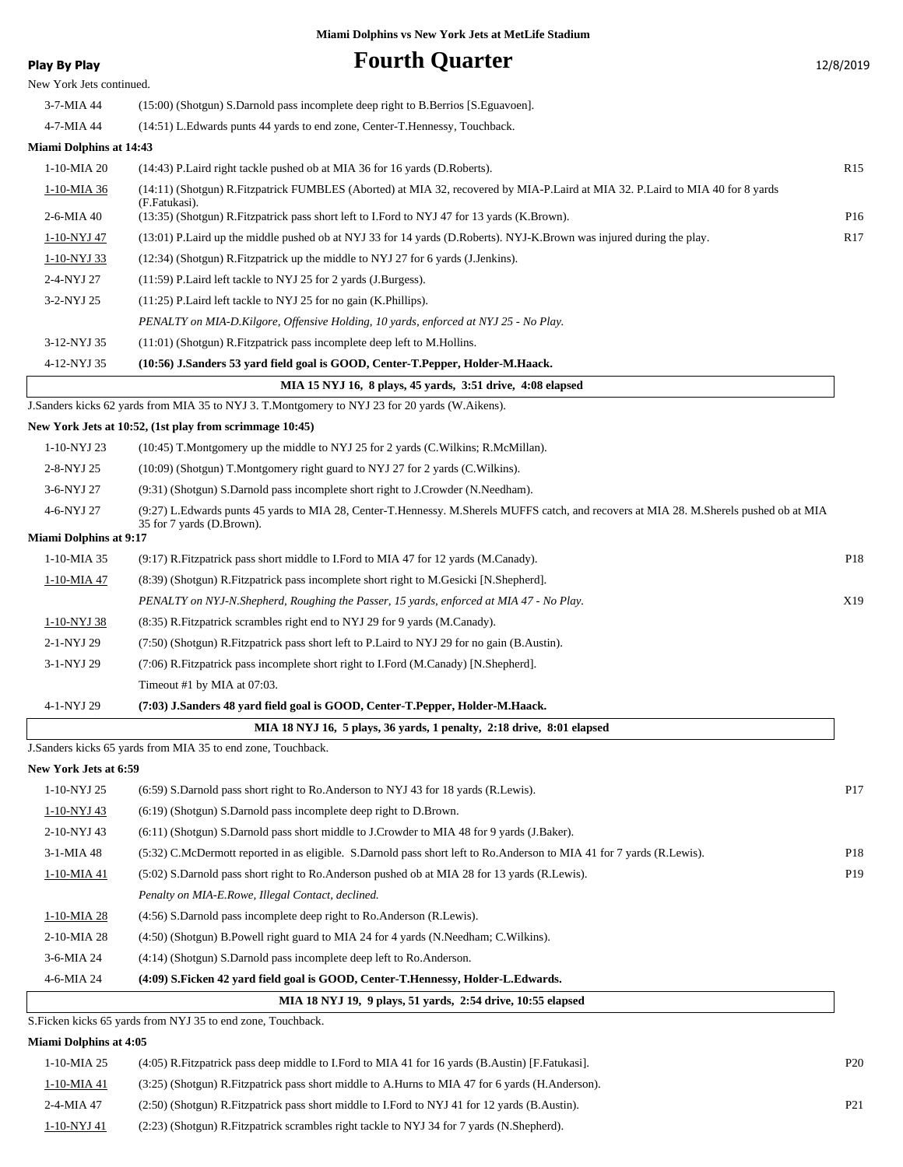## **Play By Play Fourth Quarter**

| 12/8/2019 |  |
|-----------|--|
|-----------|--|

| Play by Play                   | r var ar gaar ier                                                                                                                                                    | 17/9/201        |
|--------------------------------|----------------------------------------------------------------------------------------------------------------------------------------------------------------------|-----------------|
| New York Jets continued.       |                                                                                                                                                                      |                 |
| 3-7-MIA 44                     | (15:00) (Shotgun) S.Darnold pass incomplete deep right to B.Berrios [S.Eguavoen].                                                                                    |                 |
| 4-7-MIA 44                     | (14:51) L.Edwards punts 44 yards to end zone, Center-T.Hennessy, Touchback.                                                                                          |                 |
| <b>Miami Dolphins at 14:43</b> |                                                                                                                                                                      |                 |
| 1-10-MIA 20                    | (14:43) P. Laird right tackle pushed ob at MIA 36 for 16 yards (D. Roberts).                                                                                         | R <sub>15</sub> |
| 1-10-MIA 36                    | (14:11) (Shotgun) R.Fitzpatrick FUMBLES (Aborted) at MIA 32, recovered by MIA-P.Laird at MIA 32. P.Laird to MIA 40 for 8 yards<br>(F.Fatukasi).                      |                 |
| 2-6-MIA 40                     | (13:35) (Shotgun) R.Fitzpatrick pass short left to I.Ford to NYJ 47 for 13 yards (K.Brown).                                                                          | P16             |
| 1-10-NYJ 47                    | (13:01) P.Laird up the middle pushed ob at NYJ 33 for 14 yards (D.Roberts). NYJ-K.Brown was injured during the play.                                                 | R17             |
| 1-10-NYJ 33                    | (12:34) (Shotgun) R. Fitzpatrick up the middle to NYJ 27 for 6 yards (J. Jenkins).                                                                                   |                 |
| 2-4-NYJ 27                     | (11:59) P.Laird left tackle to NYJ 25 for 2 yards (J.Burgess).                                                                                                       |                 |
| 3-2-NYJ 25                     | (11:25) P.Laird left tackle to NYJ 25 for no gain (K.Phillips).                                                                                                      |                 |
|                                | PENALTY on MIA-D.Kilgore, Offensive Holding, 10 yards, enforced at NYJ 25 - No Play.                                                                                 |                 |
| 3-12-NYJ 35                    | (11:01) (Shotgun) R. Fitzpatrick pass incomplete deep left to M. Hollins.                                                                                            |                 |
| 4-12-NYJ 35                    | (10:56) J.Sanders 53 yard field goal is GOOD, Center-T.Pepper, Holder-M.Haack.                                                                                       |                 |
|                                | MIA 15 NYJ 16, 8 plays, 45 yards, 3:51 drive, 4:08 elapsed                                                                                                           |                 |
|                                | J.Sanders kicks 62 yards from MIA 35 to NYJ 3. T.Montgomery to NYJ 23 for 20 yards (W.Aikens).                                                                       |                 |
|                                | New York Jets at 10:52, (1st play from scrimmage 10:45)                                                                                                              |                 |
| 1-10-NYJ 23                    | (10:45) T.Montgomery up the middle to NYJ 25 for 2 yards (C.Wilkins; R.McMillan).                                                                                    |                 |
| 2-8-NYJ 25                     | (10:09) (Shotgun) T.Montgomery right guard to NYJ 27 for 2 yards (C.Wilkins).                                                                                        |                 |
| 3-6-NYJ 27                     | (9:31) (Shotgun) S.Darnold pass incomplete short right to J.Crowder (N.Needham).                                                                                     |                 |
| 4-6-NYJ 27                     | (9:27) L.Edwards punts 45 yards to MIA 28, Center-T.Hennessy. M.Sherels MUFFS catch, and recovers at MIA 28. M.Sherels pushed ob at MIA<br>35 for 7 yards (D.Brown). |                 |
| <b>Miami Dolphins at 9:17</b>  |                                                                                                                                                                      |                 |
| 1-10-MIA 35                    | (9.17) R. Fitzpatrick pass short middle to I. Ford to MIA 47 for 12 yards (M.Canady).                                                                                | P18             |
| 1-10-MIA 47                    | (8:39) (Shotgun) R. Fitzpatrick pass incomplete short right to M. Gesicki [N. Shepherd].                                                                             |                 |
|                                | PENALTY on NYJ-N.Shepherd, Roughing the Passer, 15 yards, enforced at MIA 47 - No Play.                                                                              | X19             |
| 1-10-NYJ 38                    | (8.35) R. Fitzpatrick scrambles right end to NYJ 29 for 9 yards (M. Canady).                                                                                         |                 |
| 2-1-NYJ 29                     | (7:50) (Shotgun) R. Fitzpatrick pass short left to P. Laird to NYJ 29 for no gain (B. Austin).                                                                       |                 |
| 3-1-NYJ 29                     | (7:06) R.Fitzpatrick pass incomplete short right to I.Ford (M.Canady) [N.Shepherd].                                                                                  |                 |
|                                | Timeout #1 by MIA at 07:03.                                                                                                                                          |                 |
| 4-1-NYJ 29                     | (7:03) J.Sanders 48 yard field goal is GOOD, Center-T.Pepper, Holder-M.Haack.                                                                                        |                 |
|                                | MIA 18 NYJ 16, 5 plays, 36 yards, 1 penalty, 2:18 drive, 8:01 elapsed                                                                                                |                 |
|                                | J. Sanders kicks 65 yards from MIA 35 to end zone, Touchback.                                                                                                        |                 |
| New York Jets at 6:59          |                                                                                                                                                                      |                 |
| 1-10-NYJ 25                    | (6.59) S.Darnold pass short right to Ro.Anderson to NYJ 43 for 18 yards (R.Lewis).                                                                                   | P <sub>17</sub> |
| 1-10-NYJ 43                    | (6:19) (Shotgun) S.Darnold pass incomplete deep right to D.Brown.                                                                                                    |                 |
| 2-10-NYJ 43                    | (6.11) (Shotgun) S.Darnold pass short middle to J.Crowder to MIA 48 for 9 yards (J.Baker).                                                                           |                 |
| 3-1-MIA 48                     | (5.32) C.McDermott reported in as eligible. S.Darnold pass short left to Ro.Anderson to MIA 41 for 7 yards (R.Lewis).                                                | P18             |
| 1-10-MIA 41                    | (5:02) S.Darnold pass short right to Ro.Anderson pushed ob at MIA 28 for 13 yards (R.Lewis).                                                                         | P19             |
|                                | Penalty on MIA-E.Rowe, Illegal Contact, declined.                                                                                                                    |                 |
| 1-10-MIA 28                    | (4:56) S.Darnold pass incomplete deep right to Ro.Anderson (R.Lewis).                                                                                                |                 |
| 2-10-MIA 28                    | (4:50) (Shotgun) B.Powell right guard to MIA 24 for 4 yards (N.Needham; C.Wilkins).                                                                                  |                 |
| 3-6-MIA 24                     | (4:14) (Shotgun) S.Darnold pass incomplete deep left to Ro.Anderson.                                                                                                 |                 |
| 4-6-MIA 24                     | (4:09) S.Ficken 42 yard field goal is GOOD, Center-T.Hennessy, Holder-L.Edwards.                                                                                     |                 |
|                                | MIA 18 NYJ 19, 9 plays, 51 yards, 2:54 drive, 10:55 elapsed                                                                                                          |                 |
|                                | S. Ficken kicks 65 yards from NYJ 35 to end zone, Touchback.                                                                                                         |                 |
| <b>Miami Dolphins at 4:05</b>  |                                                                                                                                                                      |                 |
| 1-10-MIA 25                    | (4:05) R. Fitzpatrick pass deep middle to I. Ford to MIA 41 for 16 yards (B. Austin) [F. Fatukasi].                                                                  | P <sub>20</sub> |
| 1-10-MIA 41                    | (3:25) (Shotgun) R. Fitzpatrick pass short middle to A. Hurns to MIA 47 for 6 yards (H. Anderson).                                                                   |                 |

2-4-MIA 47 (2:50) (Shotgun) R.Fitzpatrick pass short middle to I.Ford to NYJ 41 for 12 yards (B.Austin). P21 1-10-NYJ 41 (2:23) (Shotgun) R.Fitzpatrick scrambles right tackle to NYJ 34 for 7 yards (N.Shepherd).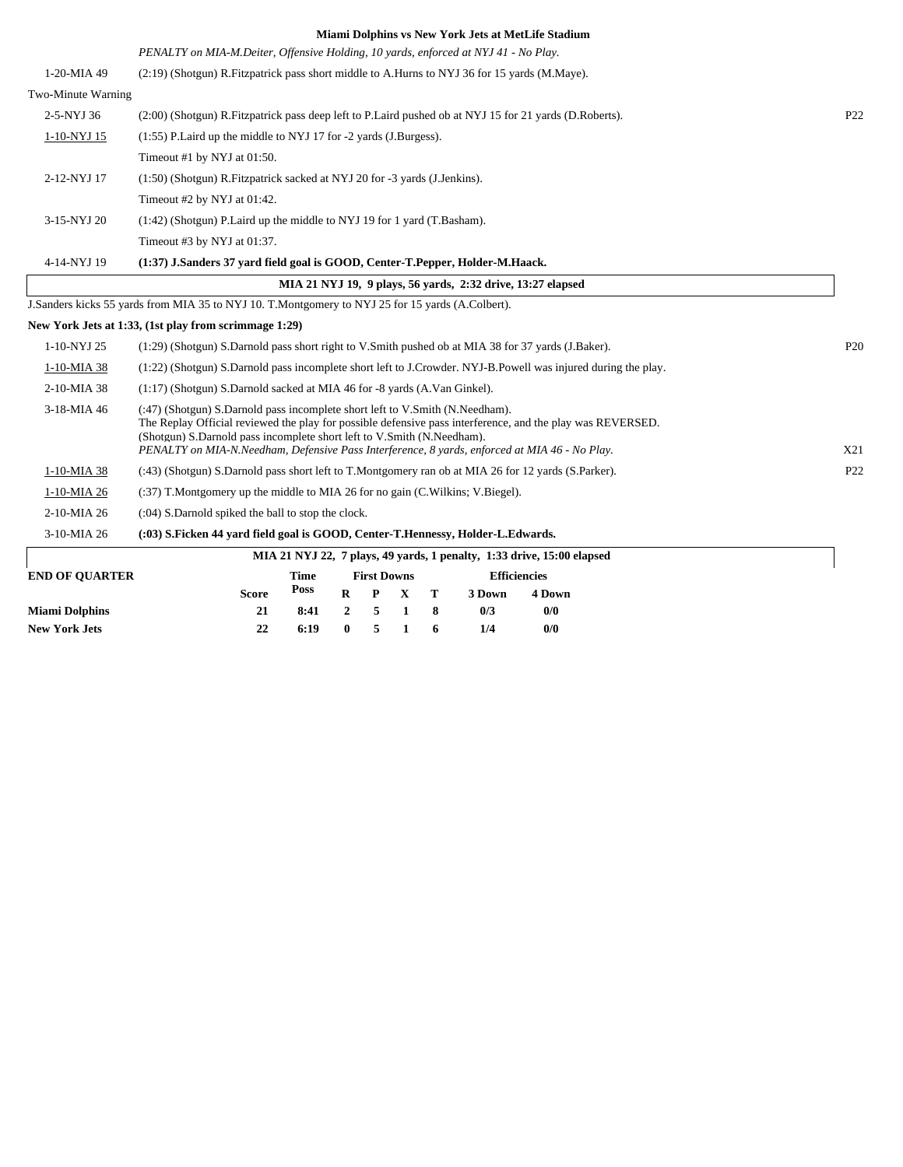|                    | лианн ронянно тэтэси тоги эскэйс лесене оймнин                                                                                                                                                                                                                                                                                                                        |                 |
|--------------------|-----------------------------------------------------------------------------------------------------------------------------------------------------------------------------------------------------------------------------------------------------------------------------------------------------------------------------------------------------------------------|-----------------|
|                    | PENALTY on MIA-M.Deiter, Offensive Holding, 10 yards, enforced at NYJ 41 - No Play.                                                                                                                                                                                                                                                                                   |                 |
| 1-20-MIA 49        | (2:19) (Shotgun) R. Fitzpatrick pass short middle to A. Hurns to NYJ 36 for 15 yards (M. Maye).                                                                                                                                                                                                                                                                       |                 |
| Two-Minute Warning |                                                                                                                                                                                                                                                                                                                                                                       |                 |
| 2-5-NYJ 36         | (2:00) (Shotgun) R. Fitzpatrick pass deep left to P. Laird pushed ob at NYJ 15 for 21 yards (D. Roberts).                                                                                                                                                                                                                                                             | P <sub>22</sub> |
| 1-10-NYJ 15        | (1:55) P. Laird up the middle to NYJ 17 for -2 yards (J. Burgess).                                                                                                                                                                                                                                                                                                    |                 |
|                    | Timeout #1 by NYJ at 01:50.                                                                                                                                                                                                                                                                                                                                           |                 |
| 2-12-NYJ 17        | (1:50) (Shotgun) R. Fitzpatrick sacked at NYJ 20 for -3 yards (J. Jenkins).                                                                                                                                                                                                                                                                                           |                 |
|                    | Timeout #2 by NYJ at 01:42.                                                                                                                                                                                                                                                                                                                                           |                 |
| 3-15-NYJ 20        | (1:42) (Shotgun) P.Laird up the middle to NYJ 19 for 1 yard (T.Basham).                                                                                                                                                                                                                                                                                               |                 |
|                    | Timeout #3 by NYJ at 01:37.                                                                                                                                                                                                                                                                                                                                           |                 |
| 4-14-NYJ 19        | (1:37) J.Sanders 37 vard field goal is GOOD, Center-T.Pepper, Holder-M.Haack.                                                                                                                                                                                                                                                                                         |                 |
|                    | MIA 21 NYJ 19, 9 plays, 56 vards, 2:32 drive, 13:27 elapsed                                                                                                                                                                                                                                                                                                           |                 |
|                    | J.Sanders kicks 55 yards from MIA 35 to NYJ 10. T.Montgomery to NYJ 25 for 15 yards (A.Colbert).                                                                                                                                                                                                                                                                      |                 |
|                    | New York Jets at 1:33, (1st play from scrimmage 1:29)                                                                                                                                                                                                                                                                                                                 |                 |
| 1-10-NYJ 25        | (1:29) (Shotgun) S.Darnold pass short right to V.Smith pushed ob at MIA 38 for 37 yards (J.Baker).                                                                                                                                                                                                                                                                    | P <sub>20</sub> |
| 1-10-MIA 38        | (1:22) (Shotgun) S.Darnold pass incomplete short left to J.Crowder. NYJ-B.Powell was injured during the play.                                                                                                                                                                                                                                                         |                 |
| 2-10-MIA 38        | (1:17) (Shotgun) S.Darnold sacked at MIA 46 for -8 yards (A.Van Ginkel).                                                                                                                                                                                                                                                                                              |                 |
| 3-18-MIA 46        | (:47) (Shotgun) S.Darnold pass incomplete short left to V.Smith (N.Needham).<br>The Replay Official reviewed the play for possible defensive pass interference, and the play was REVERSED.<br>(Shotgun) S.Darnold pass incomplete short left to V.Smith (N.Needham).<br>PENALTY on MIA-N.Needham, Defensive Pass Interference, 8 yards, enforced at MIA 46 - No Play. | X21             |
| 1-10-MIA 38        | (:43) (Shotgun) S.Darnold pass short left to T.Montgomery ran ob at MIA 26 for 12 yards (S.Parker).                                                                                                                                                                                                                                                                   | P <sub>22</sub> |
| 1-10-MIA 26        | (:37) T.Montgomery up the middle to MIA 26 for no gain (C.Wilkins; V.Biegel).                                                                                                                                                                                                                                                                                         |                 |
| 2-10-MIA 26        | (:04) S.Darnold spiked the ball to stop the clock.                                                                                                                                                                                                                                                                                                                    |                 |
| 3-10-MIA 26        | (:03) S.Ficken 44 yard field goal is GOOD, Center-T.Hennessy, Holder-L.Edwards.                                                                                                                                                                                                                                                                                       |                 |
|                    | MIA 21 NYJ 22, 7 plays, 49 yards, 1 penalty, 1:33 drive, 15:00 elapsed                                                                                                                                                                                                                                                                                                |                 |

| Time<br><b>Efficiencies</b><br><b>First Downs</b><br>Poss<br>$\mathbf{T}$<br>$\mathbf{X}$<br><b>Score</b><br>$\mathbf P$<br>R<br>3 Down<br><b>4 Down</b><br>0/0<br>0/3<br>8:41<br>21<br>2<br>$\mathbf{z}$ | $\frac{1}{2}$ and $\frac{1}{2}$ and $\frac{1}{2}$ and $\frac{1}{2}$ are $\frac{1}{2}$ and $\frac{1}{2}$ and $\frac{1}{2}$ and $\frac{1}{2}$ and $\frac{1}{2}$ and $\frac{1}{2}$ and $\frac{1}{2}$ and $\frac{1}{2}$ and $\frac{1}{2}$ and $\frac{1}{2}$ and $\frac{1}{2}$ and $\frac{1}{2}$ a |  |  |  |  |  |  |  |
|-----------------------------------------------------------------------------------------------------------------------------------------------------------------------------------------------------------|-----------------------------------------------------------------------------------------------------------------------------------------------------------------------------------------------------------------------------------------------------------------------------------------------|--|--|--|--|--|--|--|
|                                                                                                                                                                                                           | <b>END OF OUARTER</b>                                                                                                                                                                                                                                                                         |  |  |  |  |  |  |  |
|                                                                                                                                                                                                           |                                                                                                                                                                                                                                                                                               |  |  |  |  |  |  |  |
|                                                                                                                                                                                                           | <b>Miami Dolphins</b>                                                                                                                                                                                                                                                                         |  |  |  |  |  |  |  |
| 0/0<br>6:19<br>1/4<br>22<br>$\mathbf{0}$<br><sup>6</sup>                                                                                                                                                  | <b>New York Jets</b>                                                                                                                                                                                                                                                                          |  |  |  |  |  |  |  |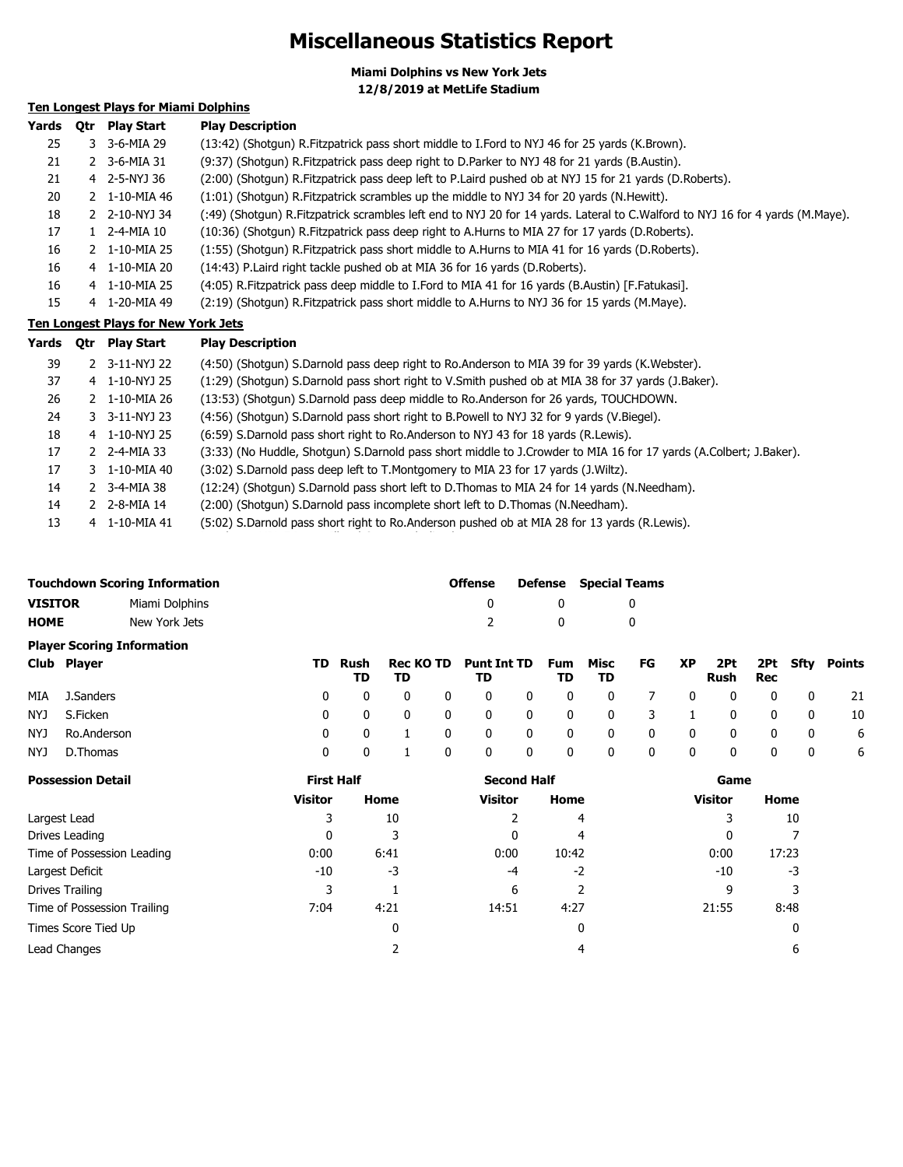## **Miscellaneous Statistics Report**

**Miami Dolphins vs New York Jets 12/8/2019 at MetLife Stadium**

## **Ten Longest Plays for Miami Dolphins**

| Yards | <b>Otr</b> | <b>Play Start</b>         | <b>Play Description</b>                                                                                                      |
|-------|------------|---------------------------|------------------------------------------------------------------------------------------------------------------------------|
| 25    |            | 3 3-6-MIA 29              | (13:42) (Shotqun) R. Fitzpatrick pass short middle to I. Ford to NYJ 46 for 25 yards (K. Brown).                             |
| 21    |            | 2 3-6-MIA 31              | (9:37) (Shotgun) R. Fitzpatrick pass deep right to D. Parker to NYJ 48 for 21 yards (B. Austin).                             |
| 21    |            | 4 2-5-NYJ 36              | (2:00) (Shotgun) R.Fitzpatrick pass deep left to P.Laird pushed ob at NYJ 15 for 21 yards (D.Roberts).                       |
| 20    |            | 2 1-10-MIA 46             | (1:01) (Shotgun) R. Fitzpatrick scrambles up the middle to NYJ 34 for 20 yards (N. Hewitt).                                  |
| 18    |            | 2 2-10-NYJ 34             | (49) (Shotgun) R.Fitzpatrick scrambles left end to NYJ 20 for 14 yards. Lateral to C.Walford to NYJ 16 for 4 yards (M.Maye). |
| 17    |            | 1 2-4-MIA 10              | (10:36) (Shotgun) R. Fitzpatrick pass deep right to A. Hurns to MIA 27 for 17 yards (D. Roberts).                            |
| 16    |            | $2 \quad 1 - 10 - MIA$ 25 | (1:55) (Shotgun) R. Fitzpatrick pass short middle to A. Hurns to MIA 41 for 16 yards (D. Roberts).                           |
| 16    |            | 4 1-10-MIA 20             | (14:43) P. Laird right tackle pushed ob at MIA 36 for 16 yards (D. Roberts).                                                 |
| 16    |            | 4 1-10-MIA 25             | (4:05) R. Fitzpatrick pass deep middle to I. Ford to MIA 41 for 16 yards (B. Austin) [F. Fatukasi].                          |
| 15    |            | 4 1-20-MIA 49             | (2:19) (Shotgun) R. Fitzpatrick pass short middle to A. Hurns to NYJ 36 for 15 yards (M. Maye).                              |

### **Ten Longest Plays for New York Jets**

| Yards | Qtr | <b>Play Start</b>              | <b>Play Description</b>                                                                                           |
|-------|-----|--------------------------------|-------------------------------------------------------------------------------------------------------------------|
| 39    |     | 2 3-11-NYJ 22                  | (4:50) (Shotgun) S.Darnold pass deep right to Ro.Anderson to MIA 39 for 39 yards (K.Webster).                     |
| 37    |     | 4 1-10-NYJ 25                  | (1:29) (Shotgun) S.Darnold pass short right to V.Smith pushed ob at MIA 38 for 37 yards (J.Baker).                |
| 26    |     | $2 \quad 1 - 10 - MIA$ 26      | (13:53) (Shotgun) S.Darnold pass deep middle to Ro.Anderson for 26 yards, TOUCHDOWN.                              |
| 24    |     | 3 3-11-NYJ 23                  | (4:56) (Shotgun) S.Darnold pass short right to B.Powell to NYJ 32 for 9 yards (V.Biegel).                         |
| 18    |     | 4 1-10-NYJ 25                  | (6:59) S.Darnold pass short right to Ro.Anderson to NYJ 43 for 18 yards (R.Lewis).                                |
| 17    |     | 2 2-4-MIA 33                   | (3:33) (No Huddle, Shotgun) S.Darnold pass short middle to J.Crowder to MIA 16 for 17 yards (A.Colbert; J.Baker). |
| 17    |     | 3 1-10-MIA 40                  | (3:02) S.Darnold pass deep left to T.Montgomery to MIA 23 for 17 yards (J.Wiltz).                                 |
| 14    |     | $2 \quad 3 - 4 - MIA \quad 38$ | (12:24) (Shotgun) S.Darnold pass short left to D.Thomas to MIA 24 for 14 yards (N.Needham).                       |
| 14    |     | 2 2-8-MIA 14                   | (2:00) (Shotqun) S.Darnold pass incomplete short left to D.Thomas (N.Needham).                                    |
| 13    |     | 4 1-10-MIA 41                  | (5:02) S.Darnold pass short right to Ro.Anderson pushed ob at MIA 28 for 13 yards (R.Lewis).                      |

|                                   | <b>Touchdown Scoring Information</b> | <b>Offense</b> |   | <b>Defense</b> Special Teams |  |  |  |  |
|-----------------------------------|--------------------------------------|----------------|---|------------------------------|--|--|--|--|
| <b>VISITOR</b>                    | Miami Dolphins                       |                |   |                              |  |  |  |  |
| <b>HOME</b>                       | New York Jets                        |                | n |                              |  |  |  |  |
| <b>Player Scoring Information</b> |                                      |                |   |                              |  |  |  |  |

| Club Player     |              |    |  | TD Rush Rec KOTD Punt Int TD Fum Misc FG XP 2Pt 2Pt Sfty Points |  |     |      |  |          |                         |      |
|-----------------|--------------|----|--|-----------------------------------------------------------------|--|-----|------|--|----------|-------------------------|------|
|                 | TD.          | TD |  | TD                                                              |  | TD. | - TD |  | Rush Rec |                         |      |
| MIA J.Sanders   |              |    |  | 0 0 0 0 0 0 0 0 0 0 0 0 0 21                                    |  |     |      |  |          |                         |      |
| NYJ S.Ficken    | $0 \qquad 0$ |    |  | 0 0 0 0 0 0 0 3 1 0 0 0                                         |  |     |      |  |          |                         | - 10 |
| NYJ Ro.Anderson |              |    |  | 0 0 1 0 0 0 0 0 0 0 0 0 0 0                                     |  |     |      |  |          |                         | 6    |
| NYJ D.Thomas    | $\Omega$     |    |  | $0\quad 0\quad 0\quad 0\quad 0\quad 0\quad 0\quad 0\quad 0$     |  |     |      |  |          | $\overline{\mathbf{0}}$ | 6    |

| <b>Possession Detail</b>    | <b>First Half</b> |      | <b>Second Half</b> |       | Game           |       |  |
|-----------------------------|-------------------|------|--------------------|-------|----------------|-------|--|
|                             | Visitor           | Home | Visitor            | Home  | <b>Visitor</b> | Home  |  |
| Largest Lead                |                   | 10   |                    | 4     |                | 10    |  |
| Drives Leading              |                   |      | 0                  | 4     | 0              |       |  |
| Time of Possession Leading  | 0:00              | 6:41 | 0:00               | 10:42 | 0:00           | 17:23 |  |
| Largest Deficit             | $-10$             | -3   | -4                 | $-2$  | -10            | -3    |  |
| Drives Trailing             |                   |      | 6                  | 2     | ٩              |       |  |
| Time of Possession Trailing | 7:04              | 4:21 | 14:51              | 4:27  | 21:55          | 8:48  |  |
| Times Score Tied Up         |                   |      |                    | 0     |                | 0     |  |
| Lead Changes                |                   |      |                    | 4     |                | 6     |  |